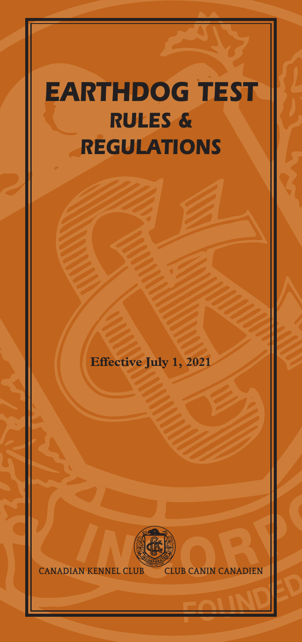# *EARTHDOG TEST RULES & REGULATIONS*

**Effective July 1, 2021**



**CANADIAN KENNEL CLUB CLUB CANIN CANADIEN**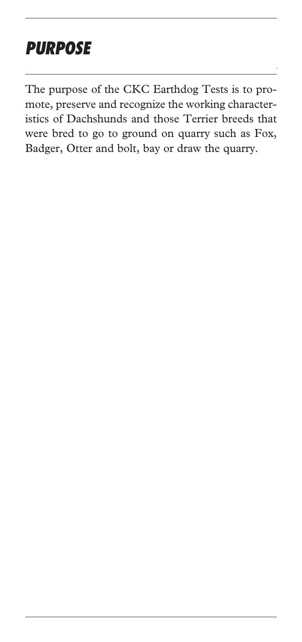# *PURPOSE*

The purpose of the CKC Earthdog Tests is to promote, preserve and recognize the working characteristics of Dachshunds and those Terrier breeds that were bred to go to ground on quarry such as Fox, Badger, Otter and bolt, bay or draw the quarry.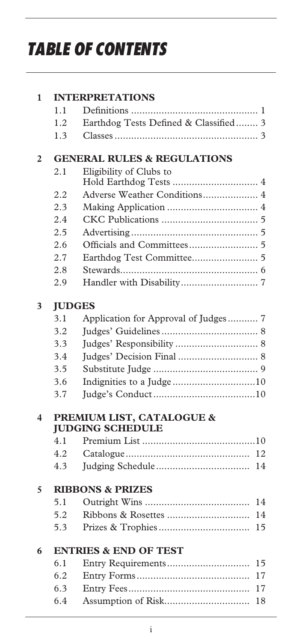# *TABLE OF CONTENTS*

| 1              |                                        | <b>INTERPRETATIONS</b>                |  |  |
|----------------|----------------------------------------|---------------------------------------|--|--|
|                | 1.1                                    |                                       |  |  |
|                | 1.2                                    | Earthdog Tests Defined & Classified 3 |  |  |
|                | 1.3                                    |                                       |  |  |
| $\overline{2}$ | <b>GENERAL RULES &amp; REGULATIONS</b> |                                       |  |  |
|                | 2.1                                    | Eligibility of Clubs to               |  |  |
|                |                                        |                                       |  |  |
|                | 2.2                                    | Adverse Weather Conditions 4          |  |  |
|                | 2.3                                    |                                       |  |  |
|                | 2.4                                    |                                       |  |  |
|                | 2.5                                    |                                       |  |  |
|                | 2.6                                    |                                       |  |  |
|                | 2.7                                    |                                       |  |  |
|                | 2.8                                    |                                       |  |  |
|                | 2.9                                    |                                       |  |  |
| 3              | <b>IUDGES</b>                          |                                       |  |  |
|                | 3.1                                    | Application for Approval of Judges 7  |  |  |
|                | 3.2                                    |                                       |  |  |
|                | 3.3                                    |                                       |  |  |
|                | 3.4                                    |                                       |  |  |
|                | 3.5                                    |                                       |  |  |
|                | 3.6                                    | Indignities to a Judge 10             |  |  |
|                | 3.7                                    |                                       |  |  |
| 4              |                                        | PREMIUM LIST, CATALOGUE &             |  |  |
|                |                                        | <b>JUDGING SCHEDULE</b>               |  |  |
|                | 4.1                                    |                                       |  |  |
|                | 4.2                                    | 12                                    |  |  |
|                | 4.3                                    | 14                                    |  |  |
| 5              | <b>RIBBONS &amp; PRIZES</b>            |                                       |  |  |
|                | 5.1                                    | 14                                    |  |  |
|                | 5.2                                    | 14                                    |  |  |
|                | 5.3                                    | 15                                    |  |  |
| 6              | <b>ENTRIES &amp; END OF TEST</b>       |                                       |  |  |
|                | 6.1                                    | 15                                    |  |  |
|                | 6.2                                    | 17                                    |  |  |
|                | 6.3                                    | 17                                    |  |  |
|                | 6.4                                    | 18                                    |  |  |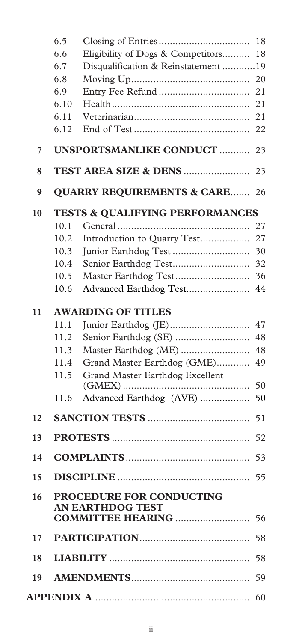|    | 6.5                                        |                                       | 18 |
|----|--------------------------------------------|---------------------------------------|----|
|    | 6.6                                        | Eligibility of Dogs & Competitors     | 18 |
|    | 6.7                                        | Disqualification & Reinstatement 19   |    |
|    | 6.8                                        |                                       | 20 |
|    | 6.9                                        |                                       | 21 |
|    | 6.10                                       |                                       | 21 |
|    | 6.11                                       |                                       | 21 |
|    | 6.12                                       |                                       | 22 |
| 7  |                                            | UNSPORTSMANLIKE CONDUCT               | 23 |
| 8  |                                            |                                       | 23 |
| 9  |                                            | <b>QUARRY REQUIREMENTS &amp; CARE</b> | 26 |
| 10 | <b>TESTS &amp; QUALIFYING PERFORMANCES</b> |                                       |    |
|    | 10.1                                       |                                       | 27 |
|    | 10.2                                       | Introduction to Quarry Test           | 27 |
|    | 10.3                                       |                                       | 30 |
|    | 10.4                                       |                                       | 32 |
|    | 10.5                                       |                                       | 36 |
|    | 10.6                                       | Advanced Earthdog Test                | 44 |
| 11 | <b>AWARDING OF TITLES</b>                  |                                       |    |
|    | 11.1                                       |                                       | 47 |
|    | 11.2                                       |                                       | 48 |
|    | 11.3                                       | Master Earthdog (ME)                  | 48 |
|    | 11.4                                       | Grand Master Earthdog (GME)           | 49 |
|    | 11.5                                       | Grand Master Earthdog Excellent       | 50 |
|    | 11.6                                       | Advanced Earthdog (AVE)               | 50 |
| 12 |                                            |                                       | 51 |
| 13 |                                            |                                       | 52 |
| 14 |                                            |                                       | 53 |
| 15 |                                            |                                       | 55 |
| 16 |                                            | PROCEDURE FOR CONDUCTING              |    |
|    |                                            | <b>EARTHDOG TEST</b>                  |    |
| 17 |                                            |                                       |    |
| 18 |                                            |                                       | 58 |
|    |                                            |                                       | 59 |
|    |                                            |                                       | 60 |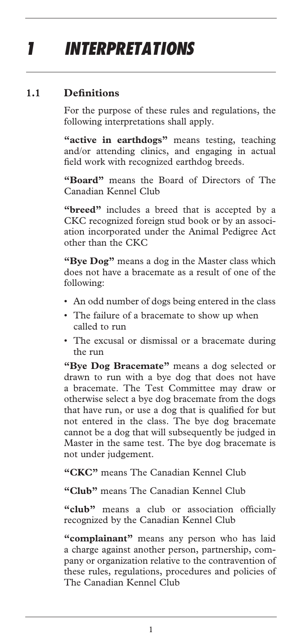# *1 INTERPRETATIONS*

### **1.1 Definitions**

For the purpose of these rules and regulations, the following interpretations shall apply.

"active in earthdogs" means testing, teaching and/or attending clinics, and engaging in actual field work with recognized earthdog breeds.

**"Board"** means the Board of Directors of The Canadian Kennel Club

**"breed"** includes a breed that is accepted by a CKC recognized foreign stud book or by an association incorporated under the Animal Pedigree Act other than the CKC

**"Bye Dog"** means a dog in the Master class which does not have a bracemate as a result of one of the following:

- An odd number of dogs being entered in the class
- The failure of a bracemate to show up when called to run
- The excusal or dismissal or a bracemate during the run

**"Bye Dog Bracemate"** means a dog selected or drawn to run with a bye dog that does not have a bracemate. The Test Committee may draw or otherwise select a bye dog bracemate from the dogs that have run, or use a dog that is qualified for but not entered in the class. The bye dog bracemate cannot be a dog that will subsequently be judged in Master in the same test. The bye dog bracemate is not under judgement.

**"CKC"** means The Canadian Kennel Club

**"Club"** means The Canadian Kennel Club

**"club"** means a club or association officially recognized by the Canadian Kennel Club

**"complainant"** means any person who has laid a charge against another person, partnership, company or organization relative to the contravention of these rules, regulations, procedures and policies of The Canadian Kennel Club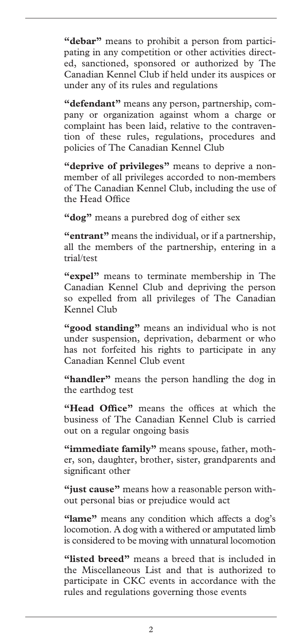**"debar"** means to prohibit a person from participating in any competition or other activities directed, sanctioned, sponsored or authorized by The Canadian Kennel Club if held under its auspices or under any of its rules and regulations

**"defendant"** means any person, partnership, company or organization against whom a charge or complaint has been laid, relative to the contravention of these rules, regulations, procedures and policies of The Canadian Kennel Club

**"deprive of privileges"** means to deprive a nonmember of all privileges accorded to non-members of The Canadian Kennel Club, including the use of the Head Office

**"dog"** means a purebred dog of either sex

**"entrant"** means the individual, or if a partnership, all the members of the partnership, entering in a trial/test

**"expel"** means to terminate membership in The Canadian Kennel Club and depriving the person so expelled from all privileges of The Canadian Kennel Club

**"good standing"** means an individual who is not under suspension, deprivation, debarment or who has not forfeited his rights to participate in any Canadian Kennel Club event

**"handler"** means the person handling the dog in the earthdog test

**"Head Office"** means the offices at which the business of The Canadian Kennel Club is carried out on a regular ongoing basis

**"immediate family"** means spouse, father, mother, son, daughter, brother, sister, grandparents and significant other

**"just cause"** means how a reasonable person without personal bias or prejudice would act

**"lame"** means any condition which affects a dog's locomotion. A dog with a withered or amputated limb is considered to be moving with unnatural locomotion

**"listed breed"** means a breed that is included in the Miscellaneous List and that is authorized to participate in CKC events in accordance with the rules and regulations governing those events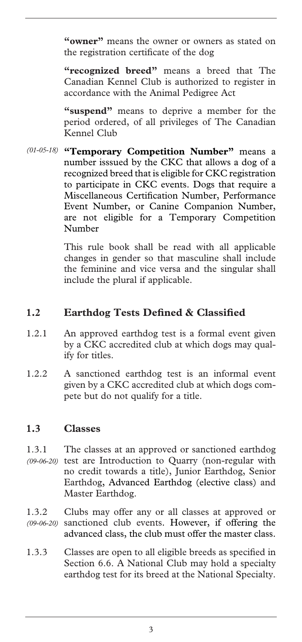**"owner"** means the owner or owners as stated on the registration certificate of the dog

**"recognized breed"** means a breed that The Canadian Kennel Club is authorized to register in accordance with the Animal Pedigree Act

**"suspend"** means to deprive a member for the period ordered, of all privileges of The Canadian Kennel Club

**"Temporary Competition Number"** means a *(01-05-18)*  number isssued by the CKC that allows a dog of a recognized breed that is eligible for CKC registration to participate in CKC events. Dogs that require a Miscellaneous Certification Number, Performance Event Number, or Canine Companion Number, are not eligible for a Temporary Competition Number

> This rule book shall be read with all applicable changes in gender so that masculine shall include the feminine and vice versa and the singular shall include the plural if applicable.

#### **1.2 Earthdog Tests Defined & Classified**

- 1.2.1 An approved earthdog test is a formal event given by a CKC accredited club at which dogs may qualify for titles.
- 1.2.2 A sanctioned earthdog test is an informal event given by a CKC accredited club at which dogs compete but do not qualify for a title.

#### **1.3 Classes**

- 1.3.1 The classes at an approved or sanctioned earthdog (09-06-20) test are Introduction to Quarry (non-regular with no credit towards a title), Junior Earthdog, Senior Earthdog, Advanced Earthdog (elective class) and Master Earthdog.
- 1.3.2 Clubs may offer any or all classes at approved or sanctioned club events. However, if offering the advanced class, the club must offer the master class. *(09-06-20)*
- 1.3.3 Classes are open to all eligible breeds as specified in Section 6.6. A National Club may hold a specialty earthdog test for its breed at the National Specialty.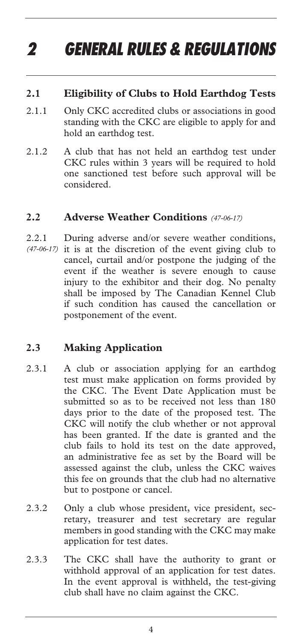# *2 GENERAL RULES & REGULATIONS*

#### **2.1 Eligibility of Clubs to Hold Earthdog Tests**

- 2.1.1 Only CKC accredited clubs or associations in good standing with the CKC are eligible to apply for and hold an earthdog test.
- 2.1.2 A club that has not held an earthdog test under CKC rules within 3 years will be required to hold one sanctioned test before such approval will be considered.

#### **2.2 Adverse Weather Conditions** *(47-06-17)*

2.2.1 During adverse and/or severe weather conditions, (47-06-17) it is at the discretion of the event giving club to cancel, curtail and/or postpone the judging of the event if the weather is severe enough to cause injury to the exhibitor and their dog. No penalty shall be imposed by The Canadian Kennel Club if such condition has caused the cancellation or postponement of the event.

#### **2.3 Making Application**

- 2.3.1 A club or association applying for an earthdog test must make application on forms provided by the CKC. The Event Date Application must be submitted so as to be received not less than 180 days prior to the date of the proposed test. The CKC will notify the club whether or not approval has been granted. If the date is granted and the club fails to hold its test on the date approved, an administrative fee as set by the Board will be assessed against the club, unless the CKC waives this fee on grounds that the club had no alternative but to postpone or cancel.
- 2.3.2 Only a club whose president, vice president, secretary, treasurer and test secretary are regular members in good standing with the CKC may make application for test dates.
- 2.3.3 The CKC shall have the authority to grant or withhold approval of an application for test dates. In the event approval is withheld, the test-giving club shall have no claim against the CKC.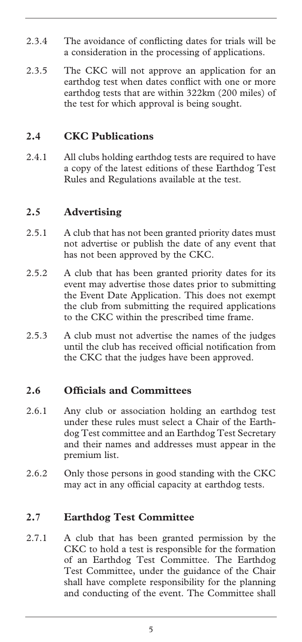- 2.3.4 The avoidance of conflicting dates for trials will be a consideration in the processing of applications.
- 2.3.5 The CKC will not approve an application for an earthdog test when dates conflict with one or more earthdog tests that are within 322km (200 miles) of the test for which approval is being sought.

#### **2.4 CKC Publications**

2.4.1 All clubs holding earthdog tests are required to have a copy of the latest editions of these Earthdog Test Rules and Regulations available at the test.

#### **2.5 Advertising**

- 2.5.1 A club that has not been granted priority dates must not advertise or publish the date of any event that has not been approved by the CKC.
- 2.5.2 A club that has been granted priority dates for its event may advertise those dates prior to submitting the Event Date Application. This does not exempt the club from submitting the required applications to the CKC within the prescribed time frame.
- 2.5.3 A club must not advertise the names of the judges until the club has received official notification from the CKC that the judges have been approved.

#### **2.6 Officials and Committees**

- 2.6.1 Any club or association holding an earthdog test under these rules must select a Chair of the Earthdog Test committee and an Earthdog Test Secretary and their names and addresses must appear in the premium list.
- 2.6.2 Only those persons in good standing with the CKC may act in any official capacity at earthdog tests.

#### **2.7 Earthdog Test Committee**

2.7.1 A club that has been granted permission by the CKC to hold a test is responsible for the formation of an Earthdog Test Committee. The Earthdog Test Committee, under the guidance of the Chair shall have complete responsibility for the planning and conducting of the event. The Committee shall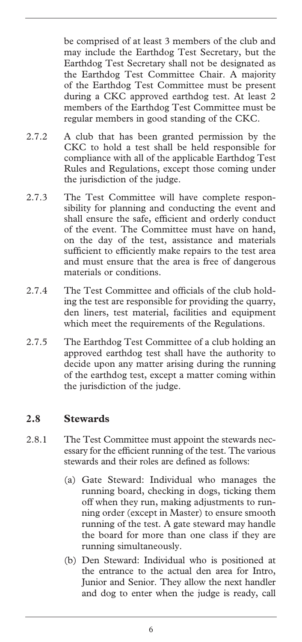be comprised of at least 3 members of the club and may include the Earthdog Test Secretary, but the Earthdog Test Secretary shall not be designated as the Earthdog Test Committee Chair. A majority of the Earthdog Test Committee must be present during a CKC approved earthdog test. At least 2 members of the Earthdog Test Committee must be regular members in good standing of the CKC.

- 2.7.2 A club that has been granted permission by the CKC to hold a test shall be held responsible for compliance with all of the applicable Earthdog Test Rules and Regulations, except those coming under the jurisdiction of the judge.
- 2.7.3 The Test Committee will have complete responsibility for planning and conducting the event and shall ensure the safe, efficient and orderly conduct of the event. The Committee must have on hand, on the day of the test, assistance and materials sufficient to efficiently make repairs to the test area and must ensure that the area is free of dangerous materials or conditions.
- 2.7.4 The Test Committee and officials of the club holding the test are responsible for providing the quarry, den liners, test material, facilities and equipment which meet the requirements of the Regulations.
- 2.7.5 The Earthdog Test Committee of a club holding an approved earthdog test shall have the authority to decide upon any matter arising during the running of the earthdog test, except a matter coming within the jurisdiction of the judge.

#### **2.8 Stewards**

- 2.8.1 The Test Committee must appoint the stewards necessary for the efficient running of the test. The various stewards and their roles are defined as follows:
	- (a) Gate Steward: Individual who manages the running board, checking in dogs, ticking them off when they run, making adjustments to running order (except in Master) to ensure smooth running of the test. A gate steward may handle the board for more than one class if they are running simultaneously.
	- (b) Den Steward: Individual who is positioned at the entrance to the actual den area for Intro, Junior and Senior. They allow the next handler and dog to enter when the judge is ready, call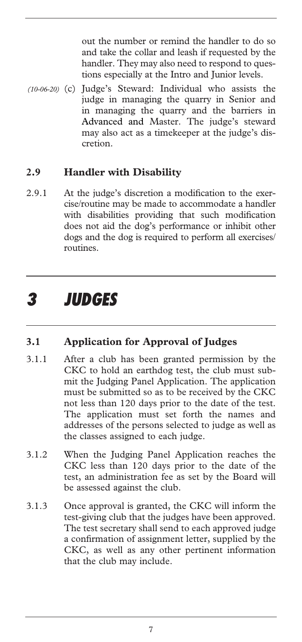out the number or remind the handler to do so and take the collar and leash if requested by the handler. They may also need to respond to questions especially at the Intro and Junior levels.

(10-06-20) (c) Judge's Steward: Individual who assists the judge in managing the quarry in Senior and in managing the quarry and the barriers in Advanced and Master. The judge's steward may also act as a timekeeper at the judge's discretion.

#### **2.9 Handler with Disability**

2.9.1 At the judge's discretion a modification to the exercise/routine may be made to accommodate a handler with disabilities providing that such modification does not aid the dog's performance or inhibit other dogs and the dog is required to perform all exercises/ routines.

### *3 JUDGES*

#### **3.1 Application for Approval of Judges**

- 3.1.1 After a club has been granted permission by the CKC to hold an earthdog test, the club must submit the Judging Panel Application. The application must be submitted so as to be received by the CKC not less than 120 days prior to the date of the test. The application must set forth the names and addresses of the persons selected to judge as well as the classes assigned to each judge.
- 3.1.2 When the Judging Panel Application reaches the CKC less than 120 days prior to the date of the test, an administration fee as set by the Board will be assessed against the club.
- 3.1.3 Once approval is granted, the CKC will inform the test-giving club that the judges have been approved. The test secretary shall send to each approved judge a confirmation of assignment letter, supplied by the CKC, as well as any other pertinent information that the club may include.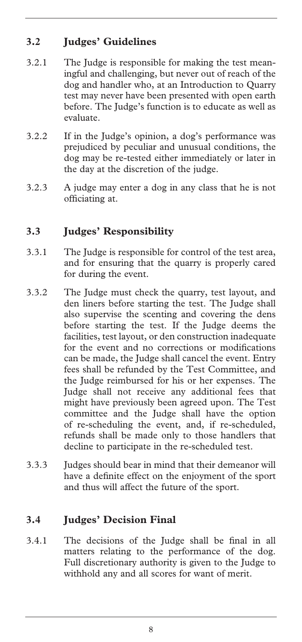### **3.2 Judges' Guidelines**

- 3.2.1 The Judge is responsible for making the test meaningful and challenging, but never out of reach of the dog and handler who, at an Introduction to Quarry test may never have been presented with open earth before. The Judge's function is to educate as well as evaluate.
- 3.2.2 If in the Judge's opinion, a dog's performance was prejudiced by peculiar and unusual conditions, the dog may be re-tested either immediately or later in the day at the discretion of the judge.
- 3.2.3 A judge may enter a dog in any class that he is not officiating at.

### **3.3 Judges' Responsibility**

- 3.3.1 The Judge is responsible for control of the test area, and for ensuring that the quarry is properly cared for during the event.
- 3.3.2 The Judge must check the quarry, test layout, and den liners before starting the test. The Judge shall also supervise the scenting and covering the dens before starting the test. If the Judge deems the facilities, test layout, or den construction inadequate for the event and no corrections or modifications can be made, the Judge shall cancel the event. Entry fees shall be refunded by the Test Committee, and the Judge reimbursed for his or her expenses. The Judge shall not receive any additional fees that might have previously been agreed upon. The Test committee and the Judge shall have the option of re-scheduling the event, and, if re-scheduled, refunds shall be made only to those handlers that decline to participate in the re-scheduled test.
- 3.3.3 Judges should bear in mind that their demeanor will have a definite effect on the enjoyment of the sport and thus will affect the future of the sport.

### **3.4 Judges' Decision Final**

3.4.1 The decisions of the Judge shall be final in all matters relating to the performance of the dog. Full discretionary authority is given to the Judge to withhold any and all scores for want of merit.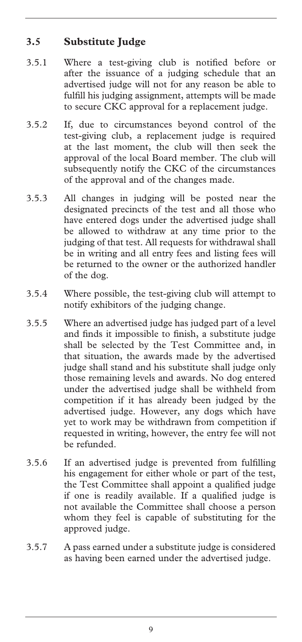### **3.5 Substitute Judge**

- 3.5.1 Where a test-giving club is notified before or after the issuance of a judging schedule that an advertised judge will not for any reason be able to fulfill his judging assignment, attempts will be made to secure CKC approval for a replacement judge.
- 3.5.2 If, due to circumstances beyond control of the test-giving club, a replacement judge is required at the last moment, the club will then seek the approval of the local Board member. The club will subsequently notify the CKC of the circumstances of the approval and of the changes made.
- 3.5.3 All changes in judging will be posted near the designated precincts of the test and all those who have entered dogs under the advertised judge shall be allowed to withdraw at any time prior to the judging of that test. All requests for withdrawal shall be in writing and all entry fees and listing fees will be returned to the owner or the authorized handler of the dog.
- 3.5.4 Where possible, the test-giving club will attempt to notify exhibitors of the judging change.
- 3.5.5 Where an advertised judge has judged part of a level and finds it impossible to finish, a substitute judge shall be selected by the Test Committee and, in that situation, the awards made by the advertised judge shall stand and his substitute shall judge only those remaining levels and awards. No dog entered under the advertised judge shall be withheld from competition if it has already been judged by the advertised judge. However, any dogs which have yet to work may be withdrawn from competition if requested in writing, however, the entry fee will not be refunded.
- 3.5.6 If an advertised judge is prevented from fulfilling his engagement for either whole or part of the test, the Test Committee shall appoint a qualified judge if one is readily available. If a qualified judge is not available the Committee shall choose a person whom they feel is capable of substituting for the approved judge.
- 3.5.7 A pass earned under a substitute judge is considered as having been earned under the advertised judge.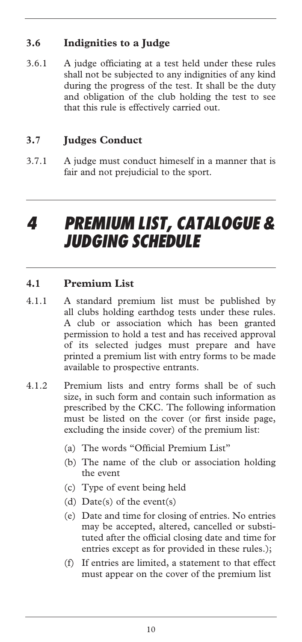### **3.6 Indignities to a Judge**

3.6.1 A judge officiating at a test held under these rules shall not be subjected to any indignities of any kind during the progress of the test. It shall be the duty and obligation of the club holding the test to see that this rule is effectively carried out.

### **3.7 Judges Conduct**

3.7.1 A judge must conduct himeself in a manner that is fair and not prejudicial to the sport.

## *4 PREMIUM LIST, CATALOGUE & JUDGING SCHEDULE*

#### **4.1 Premium List**

- 4.1.1 A standard premium list must be published by all clubs holding earthdog tests under these rules. A club or association which has been granted permission to hold a test and has received approval of its selected judges must prepare and have printed a premium list with entry forms to be made available to prospective entrants.
- 4.1.2 Premium lists and entry forms shall be of such size, in such form and contain such information as prescribed by the CKC. The following information must be listed on the cover (or first inside page, excluding the inside cover) of the premium list:
	- (a) The words "Official Premium List"
	- (b) The name of the club or association holding the event
	- (c) Type of event being held
	- (d) Date(s) of the event(s)
	- (e) Date and time for closing of entries. No entries may be accepted, altered, cancelled or substituted after the official closing date and time for entries except as for provided in these rules.);
	- (f) If entries are limited, a statement to that effect must appear on the cover of the premium list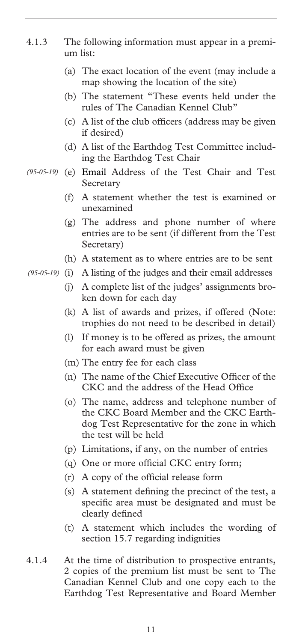- 4.1.3 The following information must appear in a premium list:
	- (a) The exact location of the event (may include a map showing the location of the site)
	- (b) The statement "These events held under the rules of The Canadian Kennel Club"
	- (c) A list of the club officers (address may be given if desired)
	- (d) A list of the Earthdog Test Committee including the Earthdog Test Chair
- (e) Email Address of the Test Chair and Test *(95-05-19)*  Secretary
	- (f) A statement whether the test is examined or unexamined
	- (g) The address and phone number of where entries are to be sent (if different from the Test Secretary)
	- (h) A statement as to where entries are to be sent
- (95-05-19) (i) A listing of the judges and their email addresses
	- (j) A complete list of the judges' assignments broken down for each day
	- (k) A list of awards and prizes, if offered (Note: trophies do not need to be described in detail)
	- (l) If money is to be offered as prizes, the amount for each award must be given
	- (m) The entry fee for each class
	- (n) The name of the Chief Executive Officer of the CKC and the address of the Head Office
	- (o) The name, address and telephone number of the CKC Board Member and the CKC Earthdog Test Representative for the zone in which the test will be held
	- (p) Limitations, if any, on the number of entries
	- (q) One or more official CKC entry form;
	- (r) A copy of the official release form
	- (s) A statement defining the precinct of the test, a specific area must be designated and must be clearly defined
	- (t) A statement which includes the wording of section 15.7 regarding indignities
- 4.1.4 At the time of distribution to prospective entrants, 2 copies of the premium list must be sent to The Canadian Kennel Club and one copy each to the Earthdog Test Representative and Board Member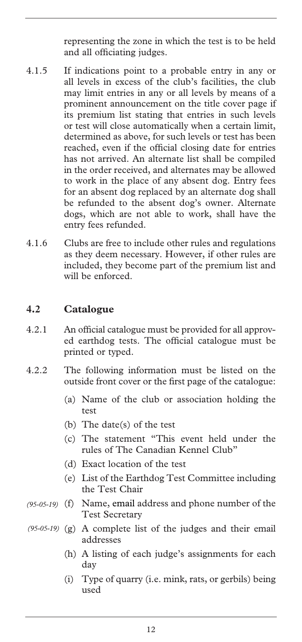representing the zone in which the test is to be held and all officiating judges.

- 4.1.5 If indications point to a probable entry in any or all levels in excess of the club's facilities, the club may limit entries in any or all levels by means of a prominent announcement on the title cover page if its premium list stating that entries in such levels or test will close automatically when a certain limit, determined as above, for such levels or test has been reached, even if the official closing date for entries has not arrived. An alternate list shall be compiled in the order received, and alternates may be allowed to work in the place of any absent dog. Entry fees for an absent dog replaced by an alternate dog shall be refunded to the absent dog's owner. Alternate dogs, which are not able to work, shall have the entry fees refunded.
- 4.1.6 Clubs are free to include other rules and regulations as they deem necessary. However, if other rules are included, they become part of the premium list and will be enforced.

#### **4.2 Catalogue**

- 4.2.1 An official catalogue must be provided for all approved earthdog tests. The official catalogue must be printed or typed.
- 4.2.2 The following information must be listed on the outside front cover or the first page of the catalogue:
	- (a) Name of the club or association holding the test
	- (b) The date(s) of the test
	- (c) The statement "This event held under the rules of The Canadian Kennel Club"
	- (d) Exact location of the test
	- (e) List of the Earthdog Test Committee including the Test Chair
- (f) Name, email address and phone number of the *(95-05-19)*  Test Secretary
- (g) A complete list of the judges and their email *(95-05-19)* addresses
	- (h) A listing of each judge's assignments for each day
	- (i) Type of quarry (i.e. mink, rats, or gerbils) being used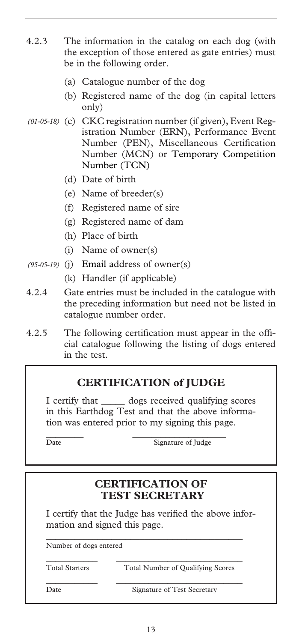- 4.2.3 The information in the catalog on each dog (with the exception of those entered as gate entries) must be in the following order.
	- (a) Catalogue number of the dog
	- (b) Registered name of the dog (in capital letters only)
- (c) CKC registration number (if given), Event Reg-*(01-05-18)*  istration Number (ERN), Performance Event Number (PEN), Miscellaneous Certification Number (MCN) or Temporary Competition Number (TCN)
	- (d) Date of birth
	- (e) Name of breeder(s)
	- (f) Registered name of sire
	- (g) Registered name of dam
	- (h) Place of birth
	- (i) Name of owner(s)
- (j) Email address of owner(s) *(95-05-19)* 
	- (k) Handler (if applicable)
- 4.2.4 Gate entries must be included in the catalogue with the preceding information but need not be listed in catalogue number order.
- 4.2.5 The following certification must appear in the official catalogue following the listing of dogs entered in the test.

#### **CERTIFICATION of JUDGE**

I certify that \_\_\_\_\_ dogs received qualifying scores in this Earthdog Test and that the above information was entered prior to my signing this page.

 $\frac{1}{2}$  ,  $\frac{1}{2}$  ,  $\frac{1}{2}$  ,  $\frac{1}{2}$  ,  $\frac{1}{2}$  ,  $\frac{1}{2}$  ,  $\frac{1}{2}$  ,  $\frac{1}{2}$  ,  $\frac{1}{2}$  ,  $\frac{1}{2}$  ,  $\frac{1}{2}$  ,  $\frac{1}{2}$  ,  $\frac{1}{2}$  ,  $\frac{1}{2}$  ,  $\frac{1}{2}$  ,  $\frac{1}{2}$  ,  $\frac{1}{2}$  ,  $\frac{1}{2}$  ,  $\frac{1$ Date Signature of Judge

### **CERTIFICATION OF TEST SECRETARY**

I certify that the Judge has verified the above information and signed this page.

\_\_\_\_\_\_\_\_\_\_\_\_\_\_\_\_\_\_\_\_\_\_\_\_\_\_\_\_\_\_\_\_\_\_\_\_\_\_\_\_\_\_

\_\_\_\_\_\_\_\_\_\_\_ \_\_\_\_\_\_\_\_\_\_\_\_\_\_\_\_\_\_\_\_\_\_\_\_\_\_\_

\_\_\_\_\_\_\_\_\_\_\_ \_\_\_\_\_\_\_\_\_\_\_\_\_\_\_\_\_\_\_\_\_\_\_\_\_\_\_

Number of dogs entered

Total Starters Total Number of Qualifying Scores

Date Signature of Test Secretary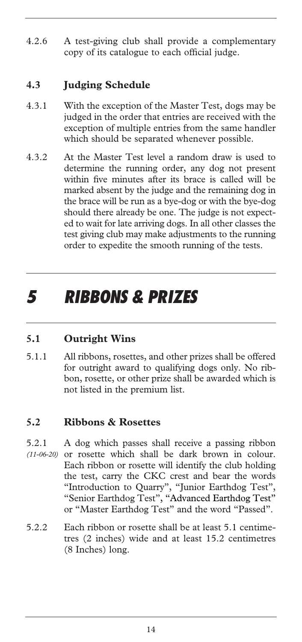4.2.6 A test-giving club shall provide a complementary copy of its catalogue to each official judge.

#### **4.3 Judging Schedule**

- 4.3.1 With the exception of the Master Test, dogs may be judged in the order that entries are received with the exception of multiple entries from the same handler which should be separated whenever possible.
- 4.3.2 At the Master Test level a random draw is used to determine the running order, any dog not present within five minutes after its brace is called will be marked absent by the judge and the remaining dog in the brace will be run as a bye-dog or with the bye-dog should there already be one. The judge is not expected to wait for late arriving dogs. In all other classes the test giving club may make adjustments to the running order to expedite the smooth running of the tests.

### *5 RIBBONS & PRIZES*

#### **5.1 Outright Wins**

5.1.1 All ribbons, rosettes, and other prizes shall be offered for outright award to qualifying dogs only. No ribbon, rosette, or other prize shall be awarded which is not listed in the premium list.

#### **5.2 Ribbons & Rosettes**

- 5.2.1 A dog which passes shall receive a passing ribbon or rosette which shall be dark brown in colour. Each ribbon or rosette will identify the club holding the test, carry the CKC crest and bear the words "Introduction to Quarry", "Junior Earthdog Test", "Senior Earthdog Test", "Advanced Earthdog Test" or "Master Earthdog Test" and the word "Passed". *(11-06-20)*
- 5.2.2 Each ribbon or rosette shall be at least 5.1 centimetres (2 inches) wide and at least 15.2 centimetres (8 Inches) long.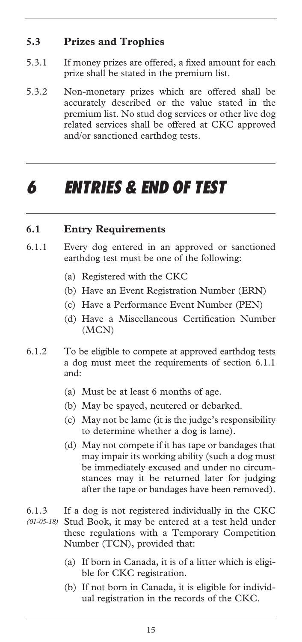#### **5.3 Prizes and Trophies**

- 5.3.1 If money prizes are offered, a fixed amount for each prize shall be stated in the premium list.
- 5.3.2 Non-monetary prizes which are offered shall be accurately described or the value stated in the premium list. No stud dog services or other live dog related services shall be offered at CKC approved and/or sanctioned earthdog tests.

### *6 ENTRIES & END OF TEST*

#### **6.1 Entry Requirements**

- 6.1.1 Every dog entered in an approved or sanctioned earthdog test must be one of the following:
	- (a) Registered with the CKC
	- (b) Have an Event Registration Number (ERN)
	- (c) Have a Performance Event Number (PEN)
	- (d) Have a Miscellaneous Certification Number (MCN)
- 6.1.2 To be eligible to compete at approved earthdog tests a dog must meet the requirements of section 6.1.1 and:
	- (a) Must be at least 6 months of age.
	- (b) May be spayed, neutered or debarked.
	- (c) May not be lame (it is the judge's responsibility to determine whether a dog is lame).
	- (d) May not compete if it has tape or bandages that may impair its working ability (such a dog must be immediately excused and under no circumstances may it be returned later for judging after the tape or bandages have been removed).
- 6.1.3 If a dog is not registered individually in the CKC Stud Book, it may be entered at a test held under these regulations with a Temporary Competition Number (TCN), provided that: *(01-05-18)* 
	- (a) If born in Canada, it is of a litter which is eligible for CKC registration.
	- (b) If not born in Canada, it is eligible for individual registration in the records of the CKC.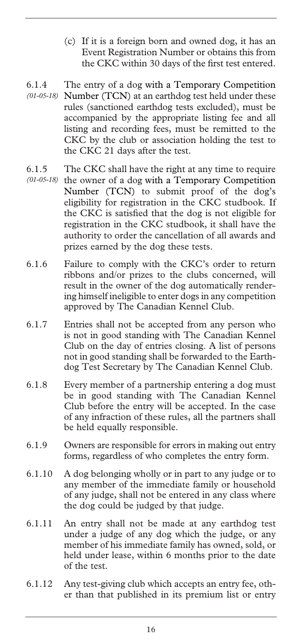- (c) If it is a foreign born and owned dog, it has an Event Registration Number or obtains this from the CKC within 30 days of the first test entered.
- 6.1.4 The entry of a dog with a Temporary Competition Number (TCN) at an earthdog test held under these *(01-05-18)*  rules (sanctioned earthdog tests excluded), must be accompanied by the appropriate listing fee and all listing and recording fees, must be remitted to the CKC by the club or association holding the test to the CKC 21 days after the test.
- 6.1.5 The CKC shall have the right at any time to require
- (01-05-18) the owner of a dog with a Temporary Competition Number (TCN) to submit proof of the dog's eligibility for registration in the CKC studbook. If the CKC is satisfied that the dog is not eligible for registration in the CKC studbook, it shall have the authority to order the cancellation of all awards and prizes earned by the dog these tests.
- 6.1.6 Failure to comply with the CKC's order to return ribbons and/or prizes to the clubs concerned, will result in the owner of the dog automatically rendering himself ineligible to enter dogs in any competition approved by The Canadian Kennel Club.
- 6.1.7 Entries shall not be accepted from any person who is not in good standing with The Canadian Kennel Club on the day of entries closing. A list of persons not in good standing shall be forwarded to the Earthdog Test Secretary by The Canadian Kennel Club.
- 6.1.8 Every member of a partnership entering a dog must be in good standing with The Canadian Kennel Club before the entry will be accepted. In the case of any infraction of these rules, all the partners shall be held equally responsible.
- 6.1.9 Owners are responsible for errors in making out entry forms, regardless of who completes the entry form.
- 6.1.10 A dog belonging wholly or in part to any judge or to any member of the immediate family or household of any judge, shall not be entered in any class where the dog could be judged by that judge.
- 6.1.11 An entry shall not be made at any earthdog test under a judge of any dog which the judge, or any member of his immediate family has owned, sold, or held under lease, within 6 months prior to the date of the test.
- 6.1.12 Any test-giving club which accepts an entry fee, other than that published in its premium list or entry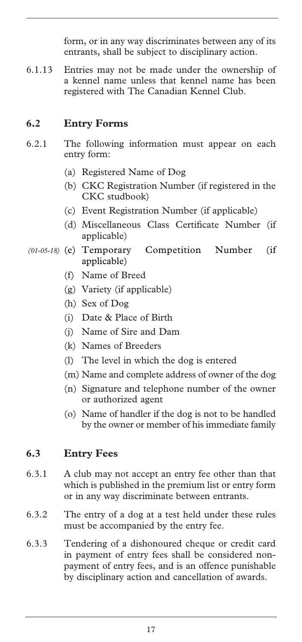form, or in any way discriminates between any of its entrants, shall be subject to disciplinary action.

6.1.13 Entries may not be made under the ownership of a kennel name unless that kennel name has been registered with The Canadian Kennel Club.

#### **6.2 Entry Forms**

- 6.2.1 The following information must appear on each entry form:
	- (a) Registered Name of Dog
	- (b) CKC Registration Number (if registered in the CKC studbook)
	- (c) Event Registration Number (if applicable)
	- (d) Miscellaneous Class Certificate Number (if applicable)
- Competition Number (if applicable) *(01-05-18)* 
	- (f) Name of Breed
	- (g) Variety (if applicable)
	- (h) Sex of Dog
	- (i) Date & Place of Birth
	- (j) Name of Sire and Dam
	- (k) Names of Breeders
	- (l) The level in which the dog is entered
	- (m) Name and complete address of owner of the dog
	- (n) Signature and telephone number of the owner or authorized agent
	- (o) Name of handler if the dog is not to be handled by the owner or member of his immediate family

#### **6.3 Entry Fees**

- 6.3.1 A club may not accept an entry fee other than that which is published in the premium list or entry form or in any way discriminate between entrants.
- 6.3.2 The entry of a dog at a test held under these rules must be accompanied by the entry fee.
- 6.3.3 Tendering of a dishonoured cheque or credit card in payment of entry fees shall be considered nonpayment of entry fees, and is an offence punishable by disciplinary action and cancellation of awards.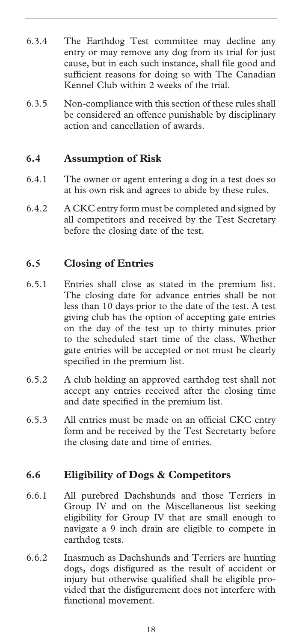- 6.3.4 The Earthdog Test committee may decline any entry or may remove any dog from its trial for just cause, but in each such instance, shall file good and sufficient reasons for doing so with The Canadian Kennel Club within 2 weeks of the trial.
- 6.3.5 Non-compliance with this section of these rules shall be considered an offence punishable by disciplinary action and cancellation of awards.

#### **6.4 Assumption of Risk**

- 6.4.1 The owner or agent entering a dog in a test does so at his own risk and agrees to abide by these rules.
- 6.4.2 A CKC entry form must be completed and signed by all competitors and received by the Test Secretary before the closing date of the test.

#### **6.5 Closing of Entries**

- 6.5.1 Entries shall close as stated in the premium list. The closing date for advance entries shall be not less than 10 days prior to the date of the test. A test giving club has the option of accepting gate entries on the day of the test up to thirty minutes prior to the scheduled start time of the class. Whether gate entries will be accepted or not must be clearly specified in the premium list.
- 6.5.2 A club holding an approved earthdog test shall not accept any entries received after the closing time and date specified in the premium list.
- 6.5.3 All entries must be made on an official CKC entry form and be received by the Test Secretarty before the closing date and time of entries.

#### **6.6 Eligibility of Dogs & Competitors**

- 6.6.1 All purebred Dachshunds and those Terriers in Group IV and on the Miscellaneous list seeking eligibility for Group IV that are small enough to navigate a 9 inch drain are eligible to compete in earthdog tests.
- 6.6.2 Inasmuch as Dachshunds and Terriers are hunting dogs, dogs disfigured as the result of accident or injury but otherwise qualified shall be eligible provided that the disfigurement does not interfere with functional movement.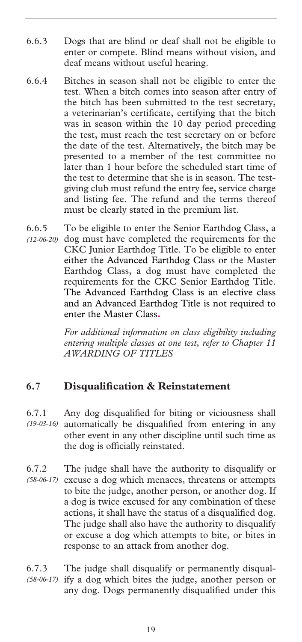- 6.6.3 Dogs that are blind or deaf shall not be eligible to enter or compete. Blind means without vision, and deaf means without useful hearing.
- 6.6.4 Bitches in season shall not be eligible to enter the test. When a bitch comes into season after entry of the bitch has been submitted to the test secretary, a veterinarian's certificate, certifying that the bitch was in season within the 10 day period preceding the test, must reach the test secretary on or before the date of the test. Alternatively, the bitch may be presented to a member of the test committee no later than 1 hour before the scheduled start time of the test to determine that she is in season. The testgiving club must refund the entry fee, service charge and listing fee. The refund and the terms thereof must be clearly stated in the premium list.
- 6.6.5 To be eligible to enter the Senior Earthdog Class, a (12-06-20) dog must have completed the requirements for the CKC Junior Earthdog Title. To be eligible to enter either the Advanced Earthdog Class or the Master Earthdog Class, a dog must have completed the requirements for the CKC Senior Earthdog Title. The Advanced Earthdog Class is an elective class and an Advanced Earthdog Title is not required to enter the Master Class**.**

*For additional information on class eligibility including entering multiple classes at one test, refer to Chapter 11 AWARDING OF TITLES*

#### **6.7 Disqualification & Reinstatement**

- 6.7.1 Any dog disqualified for biting or viciousness shall automatically be disqualified from entering in any other event in any other discipline until such time as the dog is officially reinstated. *(19-03-16)*
- 6.7.2 The judge shall have the authority to disqualify or (58-06-17) excuse a dog which menaces, threatens or attempts to bite the judge, another person, or another dog. If a dog is twice excused for any combination of these actions, it shall have the status of a disqualified dog. The judge shall also have the authority to disqualify or excuse a dog which attempts to bite, or bites in response to an attack from another dog.

6.7.3 The judge shall disqualify or permanently disqualify a dog which bites the judge, another person or any dog. Dogs permanently disqualified under this *(58-06-17)*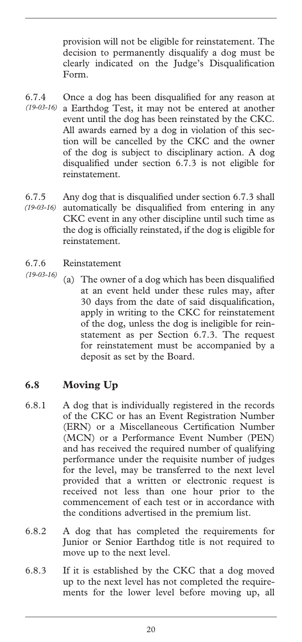provision will not be eligible for reinstatement. The decision to permanently disqualify a dog must be clearly indicated on the Judge's Disqualification Form.

- 6.7.4 Once a dog has been disqualified for any reason at a Earthdog Test, it may not be entered at another *(19-03-16)*  event until the dog has been reinstated by the CKC. All awards earned by a dog in violation of this section will be cancelled by the CKC and the owner of the dog is subject to disciplinary action. A dog disqualified under section 6.7.3 is not eligible for reinstatement.
- 6.7.5 Any dog that is disqualified under section 6.7.3 shall automatically be disqualified from entering in any CKC event in any other discipline until such time as the dog is officially reinstated, if the dog is eligible for reinstatement. *(19-03-16)*
- 6.7.6 Reinstatement
- (a) The owner of a dog which has been disqualified at an event held under these rules may, after 30 days from the date of said disqualification, apply in writing to the CKC for reinstatement of the dog, unless the dog is ineligible for reinstatement as per Section 6.7.3. The request for reinstatement must be accompanied by a deposit as set by the Board. *(19-03-16)*

#### **6.8 Moving Up**

- 6.8.1 A dog that is individually registered in the records of the CKC or has an Event Registration Number (ERN) or a Miscellaneous Certification Number (MCN) or a Performance Event Number (PEN) and has received the required number of qualifying performance under the requisite number of judges for the level, may be transferred to the next level provided that a written or electronic request is received not less than one hour prior to the commencement of each test or in accordance with the conditions advertised in the premium list.
- 6.8.2 A dog that has completed the requirements for Junior or Senior Earthdog title is not required to move up to the next level.
- 6.8.3 If it is established by the CKC that a dog moved up to the next level has not completed the requirements for the lower level before moving up, all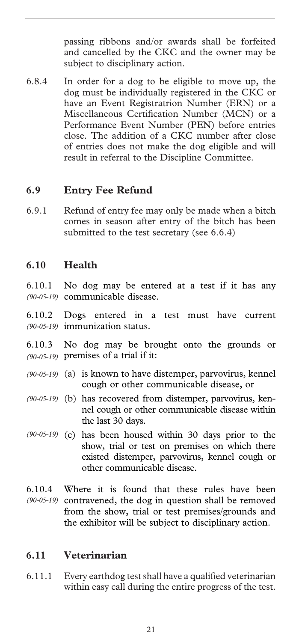passing ribbons and/or awards shall be forfeited and cancelled by the CKC and the owner may be subject to disciplinary action.

6.8.4 In order for a dog to be eligible to move up, the dog must be individually registered in the CKC or have an Event Registratrion Number (ERN) or a Miscellaneous Certification Number (MCN) or a Performance Event Number (PEN) before entries close. The addition of a CKC number after close of entries does not make the dog eligible and will result in referral to the Discipline Committee.

#### **6.9 Entry Fee Refund**

6.9.1 Refund of entry fee may only be made when a bitch comes in season after entry of the bitch has been submitted to the test secretary (see 6.6.4)

#### **6.10 Health**

6.10.1 No dog may be entered at a test if it has any communicable disease. *(90-05-19)* 

6.10.2 Dogs entered in a test must have current immunization status. *(90-05-19)* 

6.10.3 No dog may be brought onto the grounds or premises of a trial if it: *(90-05-19)* 

- (90-05-19) (a) is known to have distemper, parvovirus, kennel cough or other communicable disease, or
- (b) has recovered from distemper, parvovirus, ken-*(90-05-19)*  nel cough or other communicable disease within the last 30 days.
- (90-05-19) (c) has been housed within 30 days prior to the show, trial or test on premises on which there existed distemper, parvovirus, kennel cough or other communicable disease.
- 6.10.4 Where it is found that these rules have been (90-05-19) contravened, the dog in question shall be removed from the show, trial or test premises/grounds and the exhibitor will be subject to disciplinary action.

#### **6.11 Veterinarian**

6.11.1 Every earthdog test shall have a qualified veterinarian within easy call during the entire progress of the test.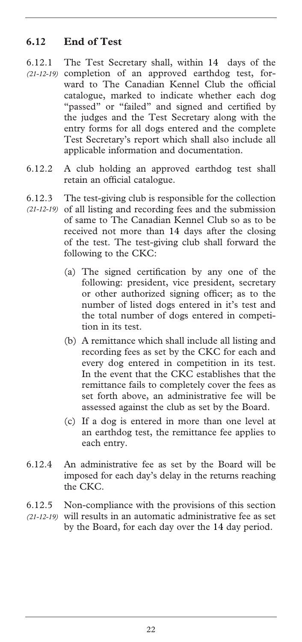#### **6.12 End of Test**

- 6.12.1 The Test Secretary shall, within 14 days of the (21-12-19) completion of an approved earthdog test, forward to The Canadian Kennel Club the official catalogue, marked to indicate whether each dog "passed" or "failed" and signed and certified by the judges and the Test Secretary along with the entry forms for all dogs entered and the complete Test Secretary's report which shall also include all applicable information and documentation.
- 6.12.2 A club holding an approved earthdog test shall retain an official catalogue.
- 6.12.3 The test-giving club is responsible for the collection
- (21-12-19) of all listing and recording fees and the submission of same to The Canadian Kennel Club so as to be received not more than 14 days after the closing of the test. The test-giving club shall forward the following to the CKC:
	- (a) The signed certification by any one of the following: president, vice president, secretary or other authorized signing officer; as to the number of listed dogs entered in it's test and the total number of dogs entered in competition in its test.
	- (b) A remittance which shall include all listing and recording fees as set by the CKC for each and every dog entered in competition in its test. In the event that the CKC establishes that the remittance fails to completely cover the fees as set forth above, an administrative fee will be assessed against the club as set by the Board.
	- (c) If a dog is entered in more than one level at an earthdog test, the remittance fee applies to each entry.
- 6.12.4 An administrative fee as set by the Board will be imposed for each day's delay in the returns reaching the CKC.
- 6.12.5 Non-compliance with the provisions of this section (21-12-19) will results in an automatic administrative fee as set by the Board, for each day over the 14 day period.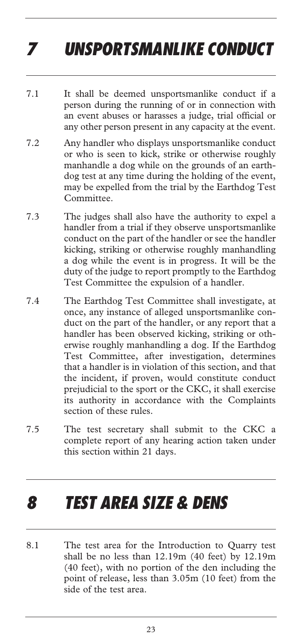# *7 UNSPORTSMANLIKE CONDUCT*

- 7.1 It shall be deemed unsportsmanlike conduct if a person during the running of or in connection with an event abuses or harasses a judge, trial official or any other person present in any capacity at the event.
- 7.2 Any handler who displays unsportsmanlike conduct or who is seen to kick, strike or otherwise roughly manhandle a dog while on the grounds of an earthdog test at any time during the holding of the event, may be expelled from the trial by the Earthdog Test Committee.
- 7.3 The judges shall also have the authority to expel a handler from a trial if they observe unsportsmanlike conduct on the part of the handler or see the handler kicking, striking or otherwise roughly manhandling a dog while the event is in progress. It will be the duty of the judge to report promptly to the Earthdog Test Committee the expulsion of a handler.
- 7.4 The Earthdog Test Committee shall investigate, at once, any instance of alleged unsportsmanlike conduct on the part of the handler, or any report that a handler has been observed kicking, striking or otherwise roughly manhandling a dog. If the Earthdog Test Committee, after investigation, determines that a handler is in violation of this section, and that the incident, if proven, would constitute conduct prejudicial to the sport or the CKC, it shall exercise its authority in accordance with the Complaints section of these rules.
- 7.5 The test secretary shall submit to the CKC a complete report of any hearing action taken under this section within 21 days.

### *8 TEST AREA SIZE & DENS*

8.1 The test area for the Introduction to Quarry test shall be no less than 12.19m (40 feet) by 12.19m (40 feet), with no portion of the den including the point of release, less than 3.05m (10 feet) from the side of the test area.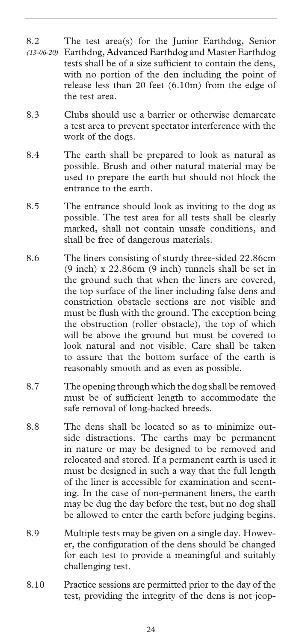- 8.2 The test area(s) for the Junior Earthdog, Senior Earthdog, Advanced Earthdog and Master Earthdog tests shall be of a size sufficient to contain the dens, with no portion of the den including the point of release less than 20 feet (6.10m) from the edge of the test area. *(13-06-20)*
- 8.3 Clubs should use a barrier or otherwise demarcate a test area to prevent spectator interference with the work of the dogs.
- 8.4 The earth shall be prepared to look as natural as possible. Brush and other natural material may be used to prepare the earth but should not block the entrance to the earth.
- 8.5 The entrance should look as inviting to the dog as possible. The test area for all tests shall be clearly marked, shall not contain unsafe conditions, and shall be free of dangerous materials.
- 8.6 The liners consisting of sturdy three-sided 22.86cm (9 inch) x 22.86cm (9 inch) tunnels shall be set in the ground such that when the liners are covered, the top surface of the liner including false dens and constriction obstacle sections are not visible and must be flush with the ground. The exception being the obstruction (roller obstacle), the top of which will be above the ground but must be covered to look natural and not visible. Care shall be taken to assure that the bottom surface of the earth is reasonably smooth and as even as possible.
- 8.7 The opening through which the dog shall be removed must be of sufficient length to accommodate the safe removal of long-backed breeds.
- 8.8 The dens shall be located so as to minimize outside distractions. The earths may be permanent in nature or may be designed to be removed and relocated and stored. If a permanent earth is used it must be designed in such a way that the full length of the liner is accessible for examination and scenting. In the case of non-permanent liners, the earth may be dug the day before the test, but no dog shall be allowed to enter the earth before judging begins.
- 8.9 Multiple tests may be given on a single day. However, the configuration of the dens should be changed for each test to provide a meaningful and suitably challenging test.
- 8.10 Practice sessions are permitted prior to the day of the test, providing the integrity of the dens is not jeop-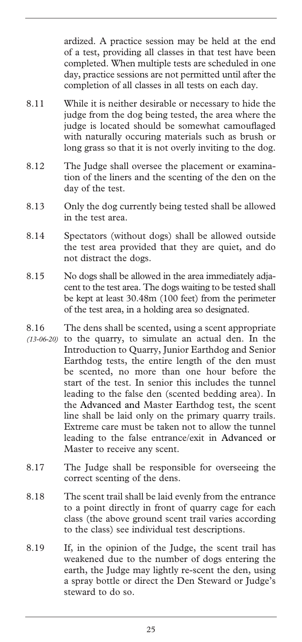ardized. A practice session may be held at the end of a test, providing all classes in that test have been completed. When multiple tests are scheduled in one day, practice sessions are not permitted until after the completion of all classes in all tests on each day.

- 8.11 While it is neither desirable or necessary to hide the judge from the dog being tested, the area where the judge is located should be somewhat camouflaged with naturally occuring materials such as brush or long grass so that it is not overly inviting to the dog.
- 8.12 The Judge shall oversee the placement or examination of the liners and the scenting of the den on the day of the test.
- 8.13 Only the dog currently being tested shall be allowed in the test area.
- 8.14 Spectators (without dogs) shall be allowed outside the test area provided that they are quiet, and do not distract the dogs.
- 8.15 No dogs shall be allowed in the area immediately adjacent to the test area. The dogs waiting to be tested shall be kept at least 30.48m (100 feet) from the perimeter of the test area, in a holding area so designated.
- 8.16 The dens shall be scented, using a scent appropriate  $(13-06-20)$  to the quarry, to simulate an actual den. In the Introduction to Quarry, Junior Earthdog and Senior Earthdog tests, the entire length of the den must be scented, no more than one hour before the start of the test. In senior this includes the tunnel leading to the false den (scented bedding area). In the Advanced and Master Earthdog test, the scent line shall be laid only on the primary quarry trails. Extreme care must be taken not to allow the tunnel leading to the false entrance/exit in Advanced or Master to receive any scent.
- 8.17 The Judge shall be responsible for overseeing the correct scenting of the dens.
- 8.18 The scent trail shall be laid evenly from the entrance to a point directly in front of quarry cage for each class (the above ground scent trail varies according to the class) see individual test descriptions.
- 8.19 If, in the opinion of the Judge, the scent trail has weakened due to the number of dogs entering the earth, the Judge may lightly re-scent the den, using a spray bottle or direct the Den Steward or Judge's steward to do so.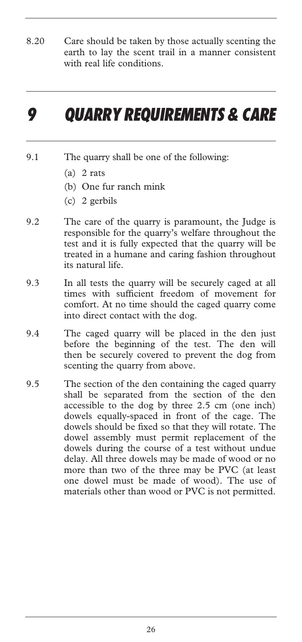8.20 Care should be taken by those actually scenting the earth to lay the scent trail in a manner consistent with real life conditions.

## *9 QUARRY REQUIREMENTS & CARE*

- 9.1 The quarry shall be one of the following:
	- $(a)$  2 rats
	- (b) One fur ranch mink
	- (c) 2 gerbils
- 9.2 The care of the quarry is paramount, the Judge is responsible for the quarry's welfare throughout the test and it is fully expected that the quarry will be treated in a humane and caring fashion throughout its natural life.
- 9.3 In all tests the quarry will be securely caged at all times with sufficient freedom of movement for comfort. At no time should the caged quarry come into direct contact with the dog.
- 9.4 The caged quarry will be placed in the den just before the beginning of the test. The den will then be securely covered to prevent the dog from scenting the quarry from above.
- 9.5 The section of the den containing the caged quarry shall be separated from the section of the den accessible to the dog by three 2.5 cm (one inch) dowels equally-spaced in front of the cage. The dowels should be fixed so that they will rotate. The dowel assembly must permit replacement of the dowels during the course of a test without undue delay. All three dowels may be made of wood or no more than two of the three may be PVC (at least one dowel must be made of wood). The use of materials other than wood or PVC is not permitted.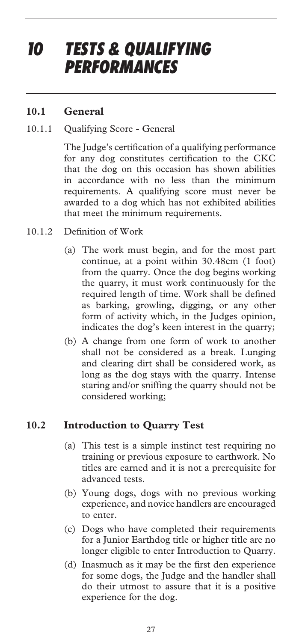## *10 TESTS & QUALIFYING PERFORMANCES*

#### **10.1 General**

#### 10.1.1 Qualifying Score - General

The Judge's certification of a qualifying performance for any dog constitutes certification to the CKC that the dog on this occasion has shown abilities in accordance with no less than the minimum requirements. A qualifying score must never be awarded to a dog which has not exhibited abilities that meet the minimum requirements.

- 10.1.2 Definition of Work
	- (a) The work must begin, and for the most part continue, at a point within 30.48cm (1 foot) from the quarry. Once the dog begins working the quarry, it must work continuously for the required length of time. Work shall be defined as barking, growling, digging, or any other form of activity which, in the Judges opinion, indicates the dog's keen interest in the quarry;
	- (b) A change from one form of work to another shall not be considered as a break. Lunging and clearing dirt shall be considered work, as long as the dog stays with the quarry. Intense staring and/or sniffing the quarry should not be considered working;

#### **10.2 Introduction to Quarry Test**

- (a) This test is a simple instinct test requiring no training or previous exposure to earthwork. No titles are earned and it is not a prerequisite for advanced tests.
- (b) Young dogs, dogs with no previous working experience, and novice handlers are encouraged to enter.
- (c) Dogs who have completed their requirements for a Junior Earthdog title or higher title are no longer eligible to enter Introduction to Quarry.
- (d) Inasmuch as it may be the first den experience for some dogs, the Judge and the handler shall do their utmost to assure that it is a positive experience for the dog.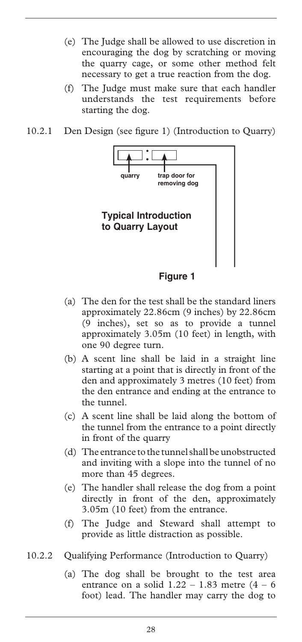- (e) The Judge shall be allowed to use discretion in encouraging the dog by scratching or moving the quarry cage, or some other method felt necessary to get a true reaction from the dog.
- (f) The Judge must make sure that each handler understands the test requirements before starting the dog.
- 10.2.1 Den Design (see figure 1) (Introduction to Quarry)



- 
- (a) The den for the test shall be the standard liners approximately 22.86cm (9 inches) by 22.86cm (9 inches), set so as to provide a tunnel approximately 3.05m (10 feet) in length, with one 90 degree turn.
- (b) A scent line shall be laid in a straight line starting at a point that is directly in front of the den and approximately 3 metres (10 feet) from the den entrance and ending at the entrance to the tunnel.
- (c) A scent line shall be laid along the bottom of the tunnel from the entrance to a point directly in front of the quarry
- (d) The entrance to the tunnel shall be unobstructed and inviting with a slope into the tunnel of no more than 45 degrees.
- (e) The handler shall release the dog from a point directly in front of the den, approximately 3.05m (10 feet) from the entrance.
- (f) The Judge and Steward shall attempt to provide as little distraction as possible.
- 10.2.2 Qualifying Performance (Introduction to Quarry)
	- (a) The dog shall be brought to the test area entrance on a solid  $1.22 - 1.83$  metre  $(4 - 6)$ foot) lead. The handler may carry the dog to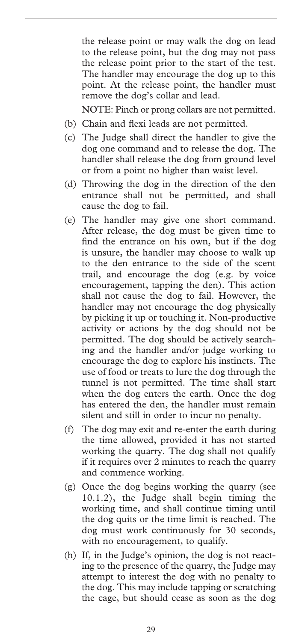the release point or may walk the dog on lead to the release point, but the dog may not pass the release point prior to the start of the test. The handler may encourage the dog up to this point. At the release point, the handler must remove the dog's collar and lead.

NOTE: Pinch or prong collars are not permitted.

- (b) Chain and flexi leads are not permitted.
- (c) The Judge shall direct the handler to give the dog one command and to release the dog. The handler shall release the dog from ground level or from a point no higher than waist level.
- (d) Throwing the dog in the direction of the den entrance shall not be permitted, and shall cause the dog to fail.
- (e) The handler may give one short command. After release, the dog must be given time to find the entrance on his own, but if the dog is unsure, the handler may choose to walk up to the den entrance to the side of the scent trail, and encourage the dog (e.g. by voice encouragement, tapping the den). This action shall not cause the dog to fail. However, the handler may not encourage the dog physically by picking it up or touching it. Non-productive activity or actions by the dog should not be permitted. The dog should be actively searching and the handler and/or judge working to encourage the dog to explore his instincts. The use of food or treats to lure the dog through the tunnel is not permitted. The time shall start when the dog enters the earth. Once the dog has entered the den, the handler must remain silent and still in order to incur no penalty.
- (f) The dog may exit and re-enter the earth during the time allowed, provided it has not started working the quarry. The dog shall not qualify if it requires over 2 minutes to reach the quarry and commence working.
- (g) Once the dog begins working the quarry (see 10.1.2), the Judge shall begin timing the working time, and shall continue timing until the dog quits or the time limit is reached. The dog must work continuously for 30 seconds, with no encouragement, to qualify.
- (h) If, in the Judge's opinion, the dog is not reacting to the presence of the quarry, the Judge may attempt to interest the dog with no penalty to the dog. This may include tapping or scratching the cage, but should cease as soon as the dog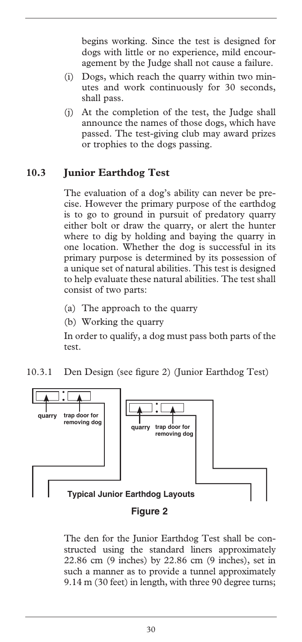begins working. Since the test is designed for dogs with little or no experience, mild encouragement by the Judge shall not cause a failure.

- (i) Dogs, which reach the quarry within two minutes and work continuously for 30 seconds, shall pass.
- (j) At the completion of the test, the Judge shall announce the names of those dogs, which have passed. The test-giving club may award prizes or trophies to the dogs passing.

#### **10.3 Junior Earthdog Test**

The evaluation of a dog's ability can never be precise. However the primary purpose of the earthdog is to go to ground in pursuit of predatory quarry either bolt or draw the quarry, or alert the hunter where to dig by holding and baying the quarry in one location. Whether the dog is successful in its primary purpose is determined by its possession of a unique set of natural abilities. This test is designed to help evaluate these natural abilities. The test shall consist of two parts:

- (a) The approach to the quarry
- (b) Working the quarry

In order to qualify, a dog must pass both parts of the test.

10.3.1 Den Design (see figure 2) (Junior Earthdog Test)



#### The den for the Junior Earthdog Test shall be constructed using the standard liners approximately 22.86 cm (9 inches) by 22.86 cm (9 inches), set in such a manner as to provide a tunnel approximately 9.14 m (30 feet) in length, with three 90 degree turns;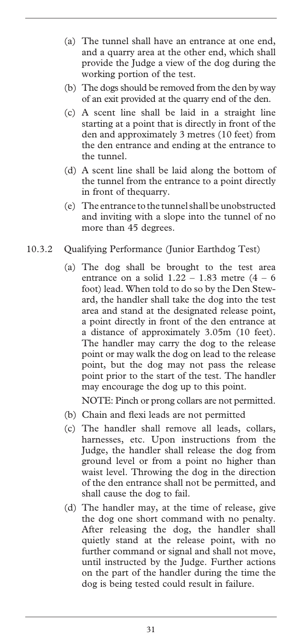- (a) The tunnel shall have an entrance at one end, and a quarry area at the other end, which shall provide the Judge a view of the dog during the working portion of the test.
- (b) The dogs should be removed from the den by way of an exit provided at the quarry end of the den.
- (c) A scent line shall be laid in a straight line starting at a point that is directly in front of the den and approximately 3 metres (10 feet) from the den entrance and ending at the entrance to the tunnel.
- (d) A scent line shall be laid along the bottom of the tunnel from the entrance to a point directly in front of thequarry.
- (e) The entrance to the tunnel shall be unobstructed and inviting with a slope into the tunnel of no more than 45 degrees.
- 10.3.2 Qualifying Performance (Junior Earthdog Test)
	- (a) The dog shall be brought to the test area entrance on a solid  $1.22 - 1.83$  metre  $(4 - 6)$ foot) lead. When told to do so by the Den Steward, the handler shall take the dog into the test area and stand at the designated release point, a point directly in front of the den entrance at a distance of approximately 3.05m (10 feet). The handler may carry the dog to the release point or may walk the dog on lead to the release point, but the dog may not pass the release point prior to the start of the test. The handler may encourage the dog up to this point.

NOTE: Pinch or prong collars are not permitted.

- (b) Chain and flexi leads are not permitted
- (c) The handler shall remove all leads, collars, harnesses, etc. Upon instructions from the Judge, the handler shall release the dog from ground level or from a point no higher than waist level. Throwing the dog in the direction of the den entrance shall not be permitted, and shall cause the dog to fail.
- (d) The handler may, at the time of release, give the dog one short command with no penalty. After releasing the dog, the handler shall quietly stand at the release point, with no further command or signal and shall not move, until instructed by the Judge. Further actions on the part of the handler during the time the dog is being tested could result in failure.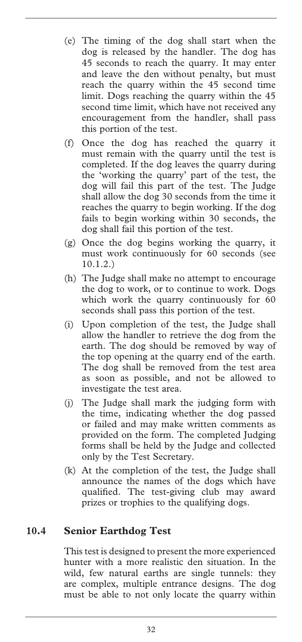- (e) The timing of the dog shall start when the dog is released by the handler. The dog has 45 seconds to reach the quarry. It may enter and leave the den without penalty, but must reach the quarry within the 45 second time limit. Dogs reaching the quarry within the 45 second time limit, which have not received any encouragement from the handler, shall pass this portion of the test.
- (f) Once the dog has reached the quarry it must remain with the quarry until the test is completed. If the dog leaves the quarry during the 'working the quarry' part of the test, the dog will fail this part of the test. The Judge shall allow the dog 30 seconds from the time it reaches the quarry to begin working. If the dog fails to begin working within 30 seconds, the dog shall fail this portion of the test.
- (g) Once the dog begins working the quarry, it must work continuously for 60 seconds (see 10.1.2.)
- (h) The Judge shall make no attempt to encourage the dog to work, or to continue to work. Dogs which work the quarry continuously for 60 seconds shall pass this portion of the test.
- (i) Upon completion of the test, the Judge shall allow the handler to retrieve the dog from the earth. The dog should be removed by way of the top opening at the quarry end of the earth. The dog shall be removed from the test area as soon as possible, and not be allowed to investigate the test area.
- (j) The Judge shall mark the judging form with the time, indicating whether the dog passed or failed and may make written comments as provided on the form. The completed Judging forms shall be held by the Judge and collected only by the Test Secretary.
- (k) At the completion of the test, the Judge shall announce the names of the dogs which have qualified. The test-giving club may award prizes or trophies to the qualifying dogs.

#### **10.4 Senior Earthdog Test**

This test is designed to present the more experienced hunter with a more realistic den situation. In the wild, few natural earths are single tunnels: they are complex, multiple entrance designs. The dog must be able to not only locate the quarry within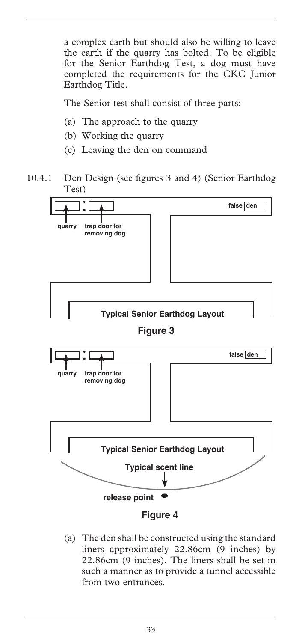a complex earth but should also be willing to leave the earth if the quarry has bolted. To be eligible for the Senior Earthdog Test, a dog must have completed the requirements for the CKC Junior Earthdog Title.

The Senior test shall consist of three parts:

- (a) The approach to the quarry
- (b) Working the quarry
- (c) Leaving the den on command
- 10.4.1 Den Design (see figures 3 and 4) (Senior Earthdog Test)



(a) The den shall be constructed using the standard liners approximately 22.86cm (9 inches) by 22.86cm (9 inches). The liners shall be set in such a manner as to provide a tunnel accessible from two entrances.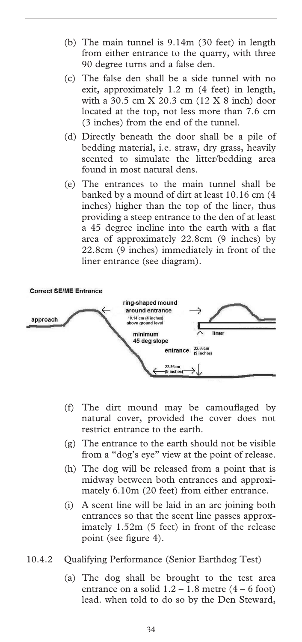- (b) The main tunnel is 9.14m (30 feet) in length from either entrance to the quarry, with three 90 degree turns and a false den.
- (c) The false den shall be a side tunnel with no exit, approximately 1.2 m (4 feet) in length, with a 30.5 cm X 20.3 cm (12 X 8 inch) door located at the top, not less more than 7.6 cm (3 inches) from the end of the tunnel.
- (d) Directly beneath the door shall be a pile of bedding material, i.e. straw, dry grass, heavily scented to simulate the litter/bedding area found in most natural dens.
- (e) The entrances to the main tunnel shall be banked by a mound of dirt at least 10.16 cm (4 inches) higher than the top of the liner, thus providing a steep entrance to the den of at least a 45 degree incline into the earth with a flat area of approximately 22.8cm (9 inches) by 22.8cm (9 inches) immediately in front of the liner entrance (see diagram).



- (f) The dirt mound may be camouflaged by natural cover, provided the cover does not restrict entrance to the earth.
- (g) The entrance to the earth should not be visible from a "dog's eye" view at the point of release.
- (h) The dog will be released from a point that is midway between both entrances and approximately 6.10m (20 feet) from either entrance.
- (i) A scent line will be laid in an arc joining both entrances so that the scent line passes approximately 1.52m (5 feet) in front of the release point (see figure 4).
- 10.4.2 Qualifying Performance (Senior Earthdog Test)
	- (a) The dog shall be brought to the test area entrance on a solid  $1.2 - 1.8$  metre  $(4 - 6$  foot) lead. when told to do so by the Den Steward,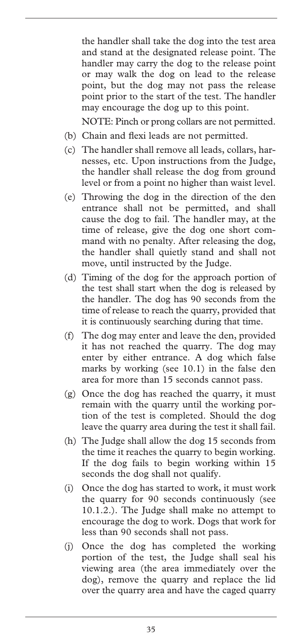the handler shall take the dog into the test area and stand at the designated release point. The handler may carry the dog to the release point or may walk the dog on lead to the release point, but the dog may not pass the release point prior to the start of the test. The handler may encourage the dog up to this point.

NOTE: Pinch or prong collars are not permitted.

- (b) Chain and flexi leads are not permitted.
- (c) The handler shall remove all leads, collars, harnesses, etc. Upon instructions from the Judge, the handler shall release the dog from ground level or from a point no higher than waist level.
- (e) Throwing the dog in the direction of the den entrance shall not be permitted, and shall cause the dog to fail. The handler may, at the time of release, give the dog one short command with no penalty. After releasing the dog, the handler shall quietly stand and shall not move, until instructed by the Judge.
- (d) Timing of the dog for the approach portion of the test shall start when the dog is released by the handler. The dog has 90 seconds from the time of release to reach the quarry, provided that it is continuously searching during that time.
- (f) The dog may enter and leave the den, provided it has not reached the quarry. The dog may enter by either entrance. A dog which false marks by working (see 10.1) in the false den area for more than 15 seconds cannot pass.
- (g) Once the dog has reached the quarry, it must remain with the quarry until the working portion of the test is completed. Should the dog leave the quarry area during the test it shall fail.
- (h) The Judge shall allow the dog 15 seconds from the time it reaches the quarry to begin working. If the dog fails to begin working within 15 seconds the dog shall not qualify.
- (i) Once the dog has started to work, it must work the quarry for 90 seconds continuously (see 10.1.2.). The Judge shall make no attempt to encourage the dog to work. Dogs that work for less than 90 seconds shall not pass.
- (j) Once the dog has completed the working portion of the test, the Judge shall seal his viewing area (the area immediately over the dog), remove the quarry and replace the lid over the quarry area and have the caged quarry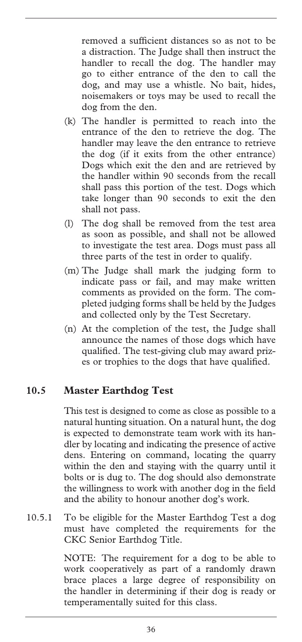removed a sufficient distances so as not to be a distraction. The Judge shall then instruct the handler to recall the dog. The handler may go to either entrance of the den to call the dog, and may use a whistle. No bait, hides, noisemakers or toys may be used to recall the dog from the den.

- (k) The handler is permitted to reach into the entrance of the den to retrieve the dog. The handler may leave the den entrance to retrieve the dog (if it exits from the other entrance) Dogs which exit the den and are retrieved by the handler within 90 seconds from the recall shall pass this portion of the test. Dogs which take longer than 90 seconds to exit the den shall not pass.
- (l) The dog shall be removed from the test area as soon as possible, and shall not be allowed to investigate the test area. Dogs must pass all three parts of the test in order to qualify.
- (m) The Judge shall mark the judging form to indicate pass or fail, and may make written comments as provided on the form. The completed judging forms shall be held by the Judges and collected only by the Test Secretary.
- (n) At the completion of the test, the Judge shall announce the names of those dogs which have qualified. The test-giving club may award prizes or trophies to the dogs that have qualified.

#### **10.5 Master Earthdog Test**

This test is designed to come as close as possible to a natural hunting situation. On a natural hunt, the dog is expected to demonstrate team work with its handler by locating and indicating the presence of active dens. Entering on command, locating the quarry within the den and staying with the quarry until it bolts or is dug to. The dog should also demonstrate the willingness to work with another dog in the field and the ability to honour another dog's work.

10.5.1 To be eligible for the Master Earthdog Test a dog must have completed the requirements for the CKC Senior Earthdog Title.

> NOTE: The requirement for a dog to be able to work cooperatively as part of a randomly drawn brace places a large degree of responsibility on the handler in determining if their dog is ready or temperamentally suited for this class.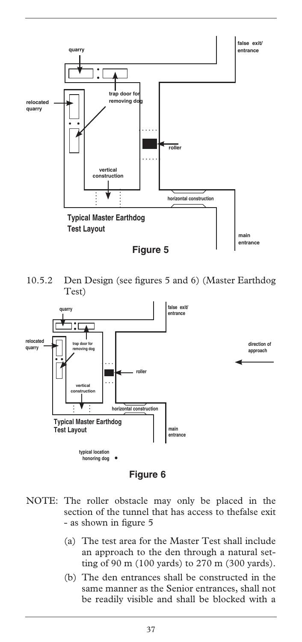

10.5.2 Den Design (see figures 5 and 6) (Master Earthdog Test)



**Figure 6**

- NOTE: The roller obstacle may only be placed in the section of the tunnel that has access to thefalse exit - as shown in figure 5
	- (a) The test area for the Master Test shall include an approach to the den through a natural setting of 90 m (100 yards) to 270 m (300 yards).
	- (b) The den entrances shall be constructed in the same manner as the Senior entrances, shall not be readily visible and shall be blocked with a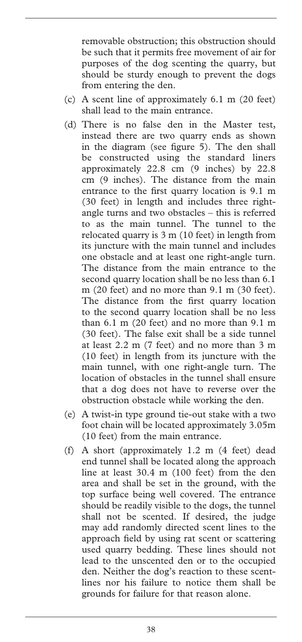removable obstruction; this obstruction should be such that it permits free movement of air for purposes of the dog scenting the quarry, but should be sturdy enough to prevent the dogs from entering the den.

- (c) A scent line of approximately 6.1 m (20 feet) shall lead to the main entrance.
- (d) There is no false den in the Master test, instead there are two quarry ends as shown in the diagram (see figure 5). The den shall be constructed using the standard liners approximately 22.8 cm (9 inches) by 22.8 cm (9 inches). The distance from the main entrance to the first quarry location is 9.1 m (30 feet) in length and includes three rightangle turns and two obstacles – this is referred to as the main tunnel. The tunnel to the relocated quarry is 3 m (10 feet) in length from its juncture with the main tunnel and includes one obstacle and at least one right-angle turn. The distance from the main entrance to the second quarry location shall be no less than 6.1 m (20 feet) and no more than 9.1 m (30 feet). The distance from the first quarry location to the second quarry location shall be no less than 6.1 m (20 feet) and no more than 9.1 m (30 feet). The false exit shall be a side tunnel at least 2.2 m (7 feet) and no more than 3 m (10 feet) in length from its juncture with the main tunnel, with one right-angle turn. The location of obstacles in the tunnel shall ensure that a dog does not have to reverse over the obstruction obstacle while working the den.
- (e) A twist-in type ground tie-out stake with a two foot chain will be located approximately 3.05m (10 feet) from the main entrance.
- (f) A short (approximately 1.2 m (4 feet) dead end tunnel shall be located along the approach line at least 30.4 m (100 feet) from the den area and shall be set in the ground, with the top surface being well covered. The entrance should be readily visible to the dogs, the tunnel shall not be scented. If desired, the judge may add randomly directed scent lines to the approach field by using rat scent or scattering used quarry bedding. These lines should not lead to the unscented den or to the occupied den. Neither the dog's reaction to these scentlines nor his failure to notice them shall be grounds for failure for that reason alone.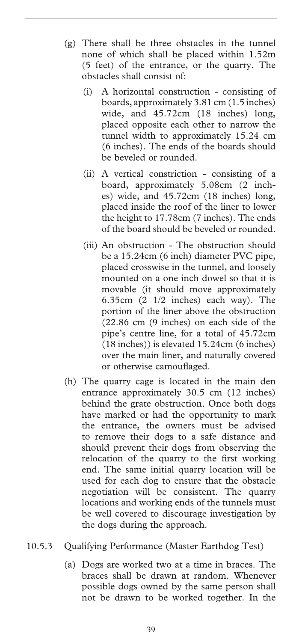- (g) There shall be three obstacles in the tunnel none of which shall be placed within 1.52m (5 feet) of the entrance, or the quarry. The obstacles shall consist of:
	- (i) A horizontal construction consisting of boards, approximately 3.81 cm (1.5 inches) wide, and 45.72cm (18 inches) long, placed opposite each other to narrow the tunnel width to approximately 15.24 cm (6 inches). The ends of the boards should be beveled or rounded.
	- (ii) A vertical constriction consisting of a board, approximately 5.08cm (2 inches) wide, and 45.72cm (18 inches) long, placed inside the roof of the liner to lower the height to 17.78cm (7 inches). The ends of the board should be beveled or rounded.
	- (iii) An obstruction The obstruction should be a 15.24cm (6 inch) diameter PVC pipe, placed crosswise in the tunnel, and loosely mounted on a one inch dowel so that it is movable (it should move approximately 6.35cm (2 1/2 inches) each way). The portion of the liner above the obstruction (22.86 cm (9 inches) on each side of the pipe's centre line, for a total of 45.72cm (18 inches)) is elevated 15.24cm (6 inches) over the main liner, and naturally covered or otherwise camouflaged.
- (h) The quarry cage is located in the main den entrance approximately 30.5 cm (12 inches) behind the grate obstruction. Once both dogs have marked or had the opportunity to mark the entrance, the owners must be advised to remove their dogs to a safe distance and should prevent their dogs from observing the relocation of the quarry to the first working end. The same initial quarry location will be used for each dog to ensure that the obstacle negotiation will be consistent. The quarry locations and working ends of the tunnels must be well covered to discourage investigation by the dogs during the approach.
- 10.5.3 Qualifying Performance (Master Earthdog Test)
	- (a) Dogs are worked two at a time in braces. The braces shall be drawn at random. Whenever possible dogs owned by the same person shall not be drawn to be worked together. In the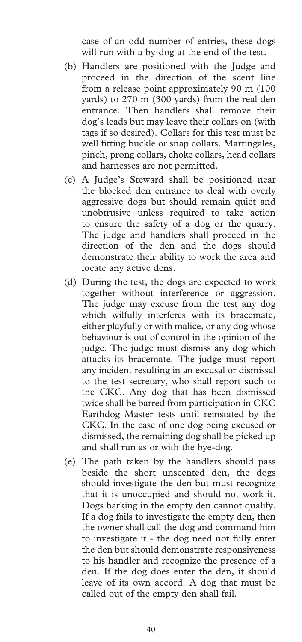case of an odd number of entries, these dogs will run with a by-dog at the end of the test.

- (b) Handlers are positioned with the Judge and proceed in the direction of the scent line from a release point approximately 90 m (100 yards) to 270 m (300 yards) from the real den entrance. Then handlers shall remove their dog's leads but may leave their collars on (with tags if so desired). Collars for this test must be well fitting buckle or snap collars. Martingales, pinch, prong collars, choke collars, head collars and harnesses are not permitted.
- (c) A Judge's Steward shall be positioned near the blocked den entrance to deal with overly aggressive dogs but should remain quiet and unobtrusive unless required to take action to ensure the safety of a dog or the quarry. The judge and handlers shall proceed in the direction of the den and the dogs should demonstrate their ability to work the area and locate any active dens.
- (d) During the test, the dogs are expected to work together without interference or aggression. The judge may excuse from the test any dog which wilfully interferes with its bracemate, either playfully or with malice, or any dog whose behaviour is out of control in the opinion of the judge. The judge must dismiss any dog which attacks its bracemate. The judge must report any incident resulting in an excusal or dismissal to the test secretary, who shall report such to the CKC. Any dog that has been dismissed twice shall be barred from participation in CKC Earthdog Master tests until reinstated by the CKC. In the case of one dog being excused or dismissed, the remaining dog shall be picked up and shall run as or with the bye-dog.
- (e) The path taken by the handlers should pass beside the short unscented den, the dogs should investigate the den but must recognize that it is unoccupied and should not work it. Dogs barking in the empty den cannot qualify. If a dog fails to investigate the empty den, then the owner shall call the dog and command him to investigate it - the dog need not fully enter the den but should demonstrate responsiveness to his handler and recognize the presence of a den. If the dog does enter the den, it should leave of its own accord. A dog that must be called out of the empty den shall fail.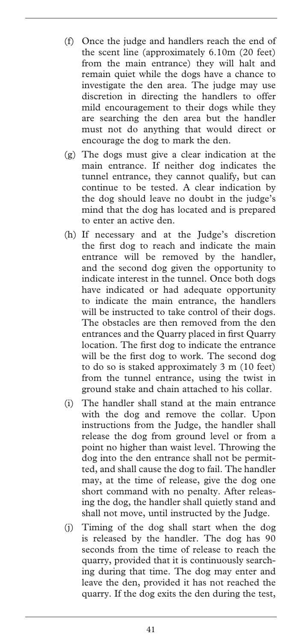- (f) Once the judge and handlers reach the end of the scent line (approximately 6.10m (20 feet) from the main entrance) they will halt and remain quiet while the dogs have a chance to investigate the den area. The judge may use discretion in directing the handlers to offer mild encouragement to their dogs while they are searching the den area but the handler must not do anything that would direct or encourage the dog to mark the den.
- (g) The dogs must give a clear indication at the main entrance. If neither dog indicates the tunnel entrance, they cannot qualify, but can continue to be tested. A clear indication by the dog should leave no doubt in the judge's mind that the dog has located and is prepared to enter an active den.
- (h) If necessary and at the Judge's discretion the first dog to reach and indicate the main entrance will be removed by the handler, and the second dog given the opportunity to indicate interest in the tunnel. Once both dogs have indicated or had adequate opportunity to indicate the main entrance, the handlers will be instructed to take control of their dogs. The obstacles are then removed from the den entrances and the Quarry placed in first Quarry location. The first dog to indicate the entrance will be the first dog to work. The second dog to do so is staked approximately 3 m (10 feet) from the tunnel entrance, using the twist in ground stake and chain attached to his collar.
- (i) The handler shall stand at the main entrance with the dog and remove the collar. Upon instructions from the Judge, the handler shall release the dog from ground level or from a point no higher than waist level. Throwing the dog into the den entrance shall not be permitted, and shall cause the dog to fail. The handler may, at the time of release, give the dog one short command with no penalty. After releasing the dog, the handler shall quietly stand and shall not move, until instructed by the Judge.
- (j) Timing of the dog shall start when the dog is released by the handler. The dog has 90 seconds from the time of release to reach the quarry, provided that it is continuously searching during that time. The dog may enter and leave the den, provided it has not reached the quarry. If the dog exits the den during the test,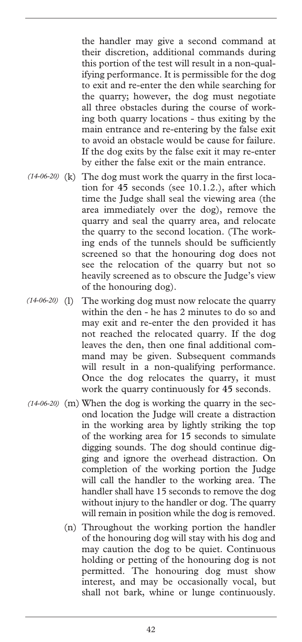the handler may give a second command at their discretion, additional commands during this portion of the test will result in a non-qualifying performance. It is permissible for the dog to exit and re-enter the den while searching for the quarry; however, the dog must negotiate all three obstacles during the course of working both quarry locations - thus exiting by the main entrance and re-entering by the false exit to avoid an obstacle would be cause for failure. If the dog exits by the false exit it may re-enter by either the false exit or the main entrance.

- (14-06-20) (k) The dog must work the quarry in the first location for 45 seconds (see 10.1.2.), after which time the Judge shall seal the viewing area (the area immediately over the dog), remove the quarry and seal the quarry area, and relocate the quarry to the second location. (The working ends of the tunnels should be sufficiently screened so that the honouring dog does not see the relocation of the quarry but not so heavily screened as to obscure the Judge's view of the honouring dog).
- The working dog must now relocate the quarry within the den - he has 2 minutes to do so and may exit and re-enter the den provided it has not reached the relocated quarry. If the dog leaves the den, then one final additional command may be given. Subsequent commands will result in a non-qualifying performance. Once the dog relocates the quarry, it must work the quarry continuously for 45 seconds.  $(14-06-20)$  (1)
- (14-06-20) (m) When the dog is working the quarry in the second location the Judge will create a distraction in the working area by lightly striking the top of the working area for 15 seconds to simulate digging sounds. The dog should continue digging and ignore the overhead distraction. On completion of the working portion the Judge will call the handler to the working area. The handler shall have 15 seconds to remove the dog without injury to the handler or dog. The quarry will remain in position while the dog is removed.
	- (n) Throughout the working portion the handler of the honouring dog will stay with his dog and may caution the dog to be quiet. Continuous holding or petting of the honouring dog is not permitted. The honouring dog must show interest, and may be occasionally vocal, but shall not bark, whine or lunge continuously.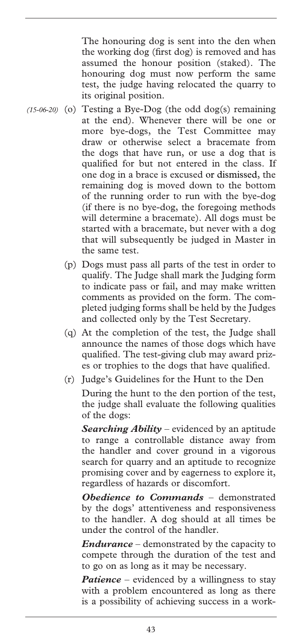The honouring dog is sent into the den when the working dog (first dog) is removed and has assumed the honour position (staked). The honouring dog must now perform the same test, the judge having relocated the quarry to its original position.

- (15-06-20) (o) Testing a Bye-Dog (the odd dog(s) remaining at the end). Whenever there will be one or more bye-dogs, the Test Committee may draw or otherwise select a bracemate from the dogs that have run, or use a dog that is qualified for but not entered in the class. If one dog in a brace is excused or dismissed, the remaining dog is moved down to the bottom of the running order to run with the bye-dog (if there is no bye-dog, the foregoing methods will determine a bracemate). All dogs must be started with a bracemate, but never with a dog that will subsequently be judged in Master in the same test.
	- (p) Dogs must pass all parts of the test in order to qualify. The Judge shall mark the Judging form to indicate pass or fail, and may make written comments as provided on the form. The completed judging forms shall be held by the Judges and collected only by the Test Secretary.
	- (q) At the completion of the test, the Judge shall announce the names of those dogs which have qualified. The test-giving club may award prizes or trophies to the dogs that have qualified.
	- (r) Judge's Guidelines for the Hunt to the Den

 During the hunt to the den portion of the test, the judge shall evaluate the following qualities of the dogs:

 *Searching Ability* – evidenced by an aptitude to range a controllable distance away from the handler and cover ground in a vigorous search for quarry and an aptitude to recognize promising cover and by eagerness to explore it, regardless of hazards or discomfort.

 *Obedience to Commands* – demonstrated by the dogs' attentiveness and responsiveness to the handler. A dog should at all times be under the control of the handler.

 *Endurance* – demonstrated by the capacity to compete through the duration of the test and to go on as long as it may be necessary.

*Patience* – evidenced by a willingness to stay with a problem encountered as long as there is a possibility of achieving success in a work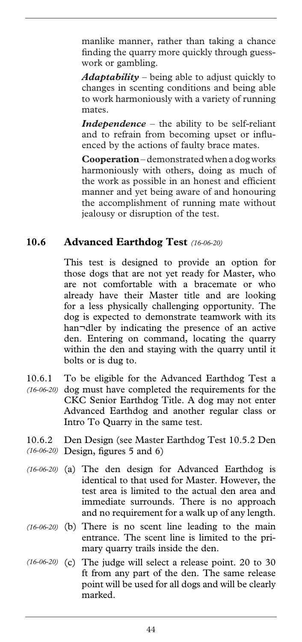manlike manner, rather than taking a chance finding the quarry more quickly through guesswork or gambling.

*Adaptability* – being able to adjust quickly to changes in scenting conditions and being able to work harmoniously with a variety of running mates.

 *Independence* – the ability to be self-reliant and to refrain from becoming upset or influenced by the actions of faulty brace mates.

 **Cooperation** – demonstrated when a dog works harmoniously with others, doing as much of the work as possible in an honest and efficient manner and yet being aware of and honouring the accomplishment of running mate without jealousy or disruption of the test.

#### **10.6 Advanced Earthdog Test** *(16-06-20)*

This test is designed to provide an option for those dogs that are not yet ready for Master, who are not comfortable with a bracemate or who already have their Master title and are looking for a less physically challenging opportunity. The dog is expected to demonstrate teamwork with its han¬dler by indicating the presence of an active den. Entering on command, locating the quarry within the den and staying with the quarry until it bolts or is dug to.

- 10.6.1 To be eligible for the Advanced Earthdog Test a (16-06-20) dog must have completed the requirements for the CKC Senior Earthdog Title. A dog may not enter Advanced Earthdog and another regular class or Intro To Quarry in the same test.
- 10.6.2 Den Design (see Master Earthdog Test 10.5.2 Den Design, figures 5 and 6) *(16-06-20)*
- (16-06-20) (a) The den design for Advanced Earthdog is identical to that used for Master. However, the test area is limited to the actual den area and immediate surrounds. There is no approach and no requirement for a walk up of any length.
- (16-06-20) (b) There is no scent line leading to the main entrance. The scent line is limited to the primary quarry trails inside the den.
- $(16-06-20)$  (c) The judge will select a release point. 20 to 30 ft from any part of the den. The same release point will be used for all dogs and will be clearly marked.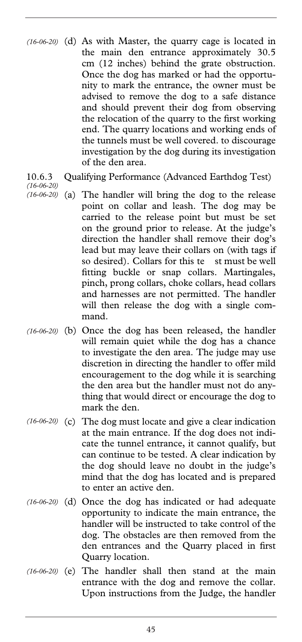- (d) As with Master, the quarry cage is located in *(16-06-20)*  the main den entrance approximately 30.5 cm (12 inches) behind the grate obstruction. Once the dog has marked or had the opportunity to mark the entrance, the owner must be advised to remove the dog to a safe distance and should prevent their dog from observing the relocation of the quarry to the first working end. The quarry locations and working ends of the tunnels must be well covered. to discourage investigation by the dog during its investigation of the den area.
- 10.6.3 Qualifying Performance (Advanced Earthdog Test)

*(16-06-20)* 

- (a) The handler will bring the dog to the release point on collar and leash. The dog may be carried to the release point but must be set on the ground prior to release. At the judge's direction the handler shall remove their dog's lead but may leave their collars on (with tags if so desired). Collars for this te st must be well fitting buckle or snap collars. Martingales, pinch, prong collars, choke collars, head collars and harnesses are not permitted. The handler will then release the dog with a single command. *(16-06-20)*
- (16-06-20) (b) Once the dog has been released, the handler will remain quiet while the dog has a chance to investigate the den area. The judge may use discretion in directing the handler to offer mild encouragement to the dog while it is searching the den area but the handler must not do anything that would direct or encourage the dog to mark the den.
- (16-06-20) (c) The dog must locate and give a clear indication at the main entrance. If the dog does not indicate the tunnel entrance, it cannot qualify, but can continue to be tested. A clear indication by the dog should leave no doubt in the judge's mind that the dog has located and is prepared to enter an active den.
- (d) Once the dog has indicated or had adequate *(16-06-20)*  opportunity to indicate the main entrance, the handler will be instructed to take control of the dog. The obstacles are then removed from the den entrances and the Quarry placed in first Quarry location.
- $(16-06-20)$  (e) The handler shall then stand at the main entrance with the dog and remove the collar. Upon instructions from the Judge, the handler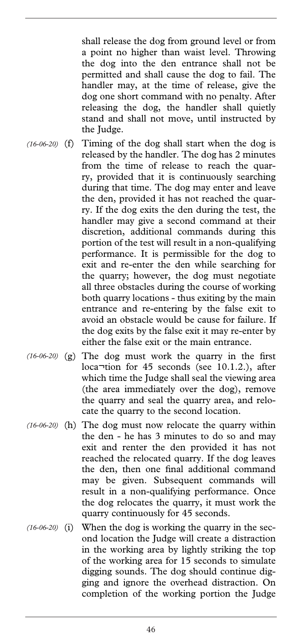shall release the dog from ground level or from a point no higher than waist level. Throwing the dog into the den entrance shall not be permitted and shall cause the dog to fail. The handler may, at the time of release, give the dog one short command with no penalty. After releasing the dog, the handler shall quietly stand and shall not move, until instructed by the Judge.

- (f) Timing of the dog shall start when the dog is *(16-06-20)*  released by the handler. The dog has 2 minutes from the time of release to reach the quarry, provided that it is continuously searching during that time. The dog may enter and leave the den, provided it has not reached the quarry. If the dog exits the den during the test, the handler may give a second command at their discretion, additional commands during this portion of the test will result in a non-qualifying performance. It is permissible for the dog to exit and re-enter the den while searching for the quarry; however, the dog must negotiate all three obstacles during the course of working both quarry locations - thus exiting by the main entrance and re-entering by the false exit to avoid an obstacle would be cause for failure. If the dog exits by the false exit it may re-enter by either the false exit or the main entrance.
- $(16-06-20)$  (g) The dog must work the quarry in the first loca¬tion for 45 seconds (see 10.1.2.), after which time the Judge shall seal the viewing area (the area immediately over the dog), remove the quarry and seal the quarry area, and relocate the quarry to the second location.
- (16-06-20) (h) The dog must now relocate the quarry within the den - he has 3 minutes to do so and may exit and renter the den provided it has not reached the relocated quarry. If the dog leaves the den, then one final additional command may be given. Subsequent commands will result in a non-qualifying performance. Once the dog relocates the quarry, it must work the quarry continuously for 45 seconds.
- When the dog is working the quarry in the second location the Judge will create a distraction in the working area by lightly striking the top of the working area for 15 seconds to simulate digging sounds. The dog should continue digging and ignore the overhead distraction. On completion of the working portion the Judge  $(16-06-20)$  **(i)**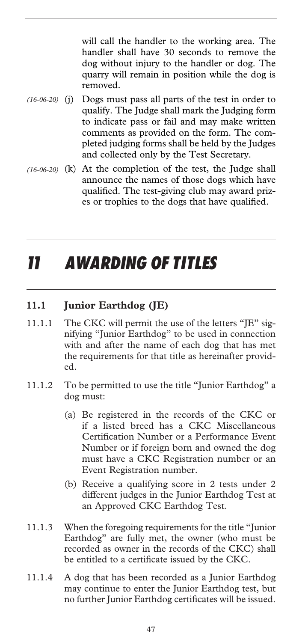will call the handler to the working area. The handler shall have 30 seconds to remove the dog without injury to the handler or dog. The quarry will remain in position while the dog is removed.

- Dogs must pass all parts of the test in order to qualify. The Judge shall mark the Judging form to indicate pass or fail and may make written comments as provided on the form. The completed judging forms shall be held by the Judges and collected only by the Test Secretary.  $(16-06-20)$  **(j)**
- (16-06-20) (k) At the completion of the test, the Judge shall announce the names of those dogs which have qualified. The test-giving club may award prizes or trophies to the dogs that have qualified.

# *11 AWARDING OF TITLES*

### **11.1 Junior Earthdog (JE)**

- 11.1.1 The CKC will permit the use of the letters "JE" signifying "Junior Earthdog" to be used in connection with and after the name of each dog that has met the requirements for that title as hereinafter provided.
- 11.1.2 To be permitted to use the title "Junior Earthdog" a dog must:
	- (a) Be registered in the records of the CKC or if a listed breed has a CKC Miscellaneous Certification Number or a Performance Event Number or if foreign born and owned the dog must have a CKC Registration number or an Event Registration number.
	- (b) Receive a qualifying score in 2 tests under 2 different judges in the Junior Earthdog Test at an Approved CKC Earthdog Test.
- 11.1.3 When the foregoing requirements for the title "Junior Earthdog" are fully met, the owner (who must be recorded as owner in the records of the CKC) shall be entitled to a certificate issued by the CKC.
- 11.1.4 A dog that has been recorded as a Junior Earthdog may continue to enter the Junior Earthdog test, but no further Junior Earthdog certificates will be issued.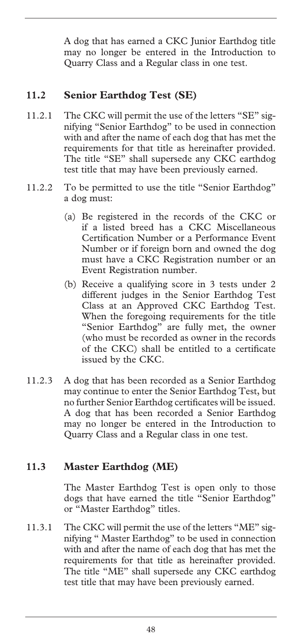A dog that has earned a CKC Junior Earthdog title may no longer be entered in the Introduction to Quarry Class and a Regular class in one test.

#### **11.2 Senior Earthdog Test (SE)**

- 11.2.1 The CKC will permit the use of the letters "SE" signifying "Senior Earthdog" to be used in connection with and after the name of each dog that has met the requirements for that title as hereinafter provided. The title "SE" shall supersede any CKC earthdog test title that may have been previously earned.
- 11.2.2 To be permitted to use the title "Senior Earthdog" a dog must:
	- (a) Be registered in the records of the CKC or if a listed breed has a CKC Miscellaneous Certification Number or a Performance Event Number or if foreign born and owned the dog must have a CKC Registration number or an Event Registration number.
	- (b) Receive a qualifying score in 3 tests under 2 different judges in the Senior Earthdog Test Class at an Approved CKC Earthdog Test. When the foregoing requirements for the title "Senior Earthdog" are fully met, the owner (who must be recorded as owner in the records of the CKC) shall be entitled to a certificate issued by the CKC.
- 11.2.3 A dog that has been recorded as a Senior Earthdog may continue to enter the Senior Earthdog Test, but no further Senior Earthdog certificates will be issued. A dog that has been recorded a Senior Earthdog may no longer be entered in the Introduction to Quarry Class and a Regular class in one test.

#### **11.3 Master Earthdog (ME)**

The Master Earthdog Test is open only to those dogs that have earned the title "Senior Earthdog" or "Master Earthdog" titles.

11.3.1 The CKC will permit the use of the letters "ME" signifying " Master Earthdog" to be used in connection with and after the name of each dog that has met the requirements for that title as hereinafter provided. The title "ME" shall supersede any CKC earthdog test title that may have been previously earned.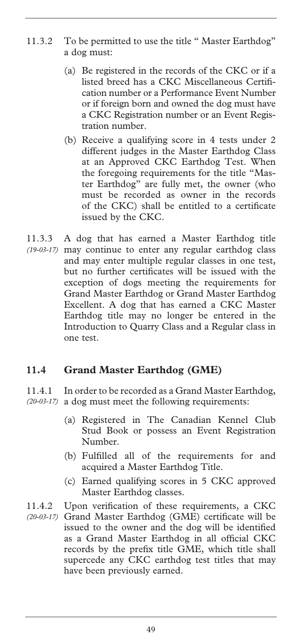- 11.3.2 To be permitted to use the title " Master Earthdog" a dog must:
	- (a) Be registered in the records of the CKC or if a listed breed has a CKC Miscellaneous Certification number or a Performance Event Number or if foreign born and owned the dog must have a CKC Registration number or an Event Registration number.
	- (b) Receive a qualifying score in 4 tests under 2 different judges in the Master Earthdog Class at an Approved CKC Earthdog Test. When the foregoing requirements for the title "Master Earthdog" are fully met, the owner (who must be recorded as owner in the records of the CKC) shall be entitled to a certificate issued by the CKC.
- 11.3.3 A dog that has earned a Master Earthdog title may continue to enter any regular earthdog class *(19-03-17)*  and may enter multiple regular classes in one test, but no further certificates will be issued with the exception of dogs meeting the requirements for Grand Master Earthdog or Grand Master Earthdog Excellent. A dog that has earned a CKC Master Earthdog title may no longer be entered in the Introduction to Quarry Class and a Regular class in one test.

#### **11.4 Grand Master Earthdog (GME)**

11.4.1 In order to be recorded as a Grand Master Earthdog, (20-03-17) a dog must meet the following requirements:

- (a) Registered in The Canadian Kennel Club Stud Book or possess an Event Registration Number.
- (b) Fulfilled all of the requirements for and acquired a Master Earthdog Title.
- (c) Earned qualifying scores in 5 CKC approved Master Earthdog classes.

11.4.2 Upon verification of these requirements, a CKC

Grand Master Earthdog (GME) certificate will be *(20-03-17)* issued to the owner and the dog will be identified as a Grand Master Earthdog in all official CKC records by the prefix title GME, which title shall supercede any CKC earthdog test titles that may have been previously earned.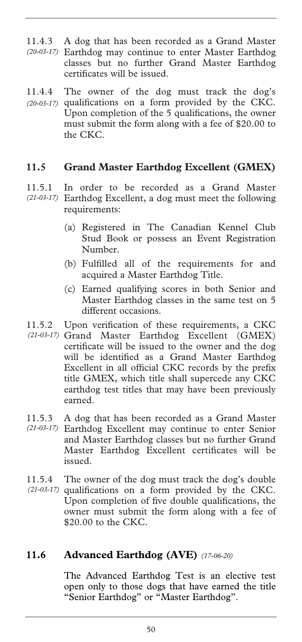- 11.4.3 A dog that has been recorded as a Grand Master Earthdog may continue to enter Master Earthdog *(20-03-17)*  classes but no further Grand Master Earthdog certificates will be issued.
- 11.4.4 The owner of the dog must track the dog's (20-03-17) qualifications on a form provided by the CKC. Upon completion of the 5 qualifications, the owner must submit the form along with a fee of \$20.00 to the CKC.

#### **11.5 Grand Master Earthdog Excellent (GMEX)**

- 11.5.1 In order to be recorded as a Grand Master Earthdog Excellent, a dog must meet the following *(21-03-17)*  requirements:
	- (a) Registered in The Canadian Kennel Club Stud Book or possess an Event Registration Number.
	- (b) Fulfilled all of the requirements for and acquired a Master Earthdog Title.
	- (c) Earned qualifying scores in both Senior and Master Earthdog classes in the same test on 5 different occasions.
- 11.5.2 Upon verification of these requirements, a CKC (21-03-17) Grand Master Earthdog Excellent (GMEX) certificate will be issued to the owner and the dog will be identified as a Grand Master Earthdog Excellent in all official CKC records by the prefix title GMEX, which title shall supercede any CKC earthdog test titles that may have been previously earned.
- 11.5.3 A dog that has been recorded as a Grand Master Earthdog Excellent may continue to enter Senior *(21-03-17)*  and Master Earthdog classes but no further Grand Master Earthdog Excellent certificates will be issued.
- 11.5.4 The owner of the dog must track the dog's double
- (21-03-17) qualifications on a form provided by the CKC. Upon completion of five double qualifications, the owner must submit the form along with a fee of \$20.00 to the CKC.

#### **11.6 Advanced Earthdog (AVE)** *(17-06-20)*

The Advanced Earthdog Test is an elective test open only to those dogs that have earned the title "Senior Earthdog" or "Master Earthdog".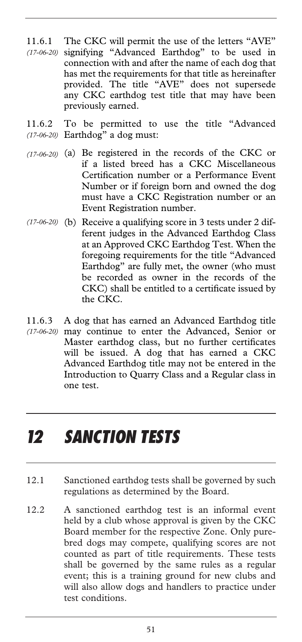- 11.6.1 The CKC will permit the use of the letters "AVE" signifying "Advanced Earthdog" to be used in *(17-06-20)*  connection with and after the name of each dog that has met the requirements for that title as hereinafter provided. The title "AVE" does not supersede any CKC earthdog test title that may have been previously earned.
- 11.6.2 To be permitted to use the title "Advanced Earthdog" a dog must: *(17-06-20)*
- $(17-06-20)$  (a) Be registered in the records of the CKC or if a listed breed has a CKC Miscellaneous Certification number or a Performance Event Number or if foreign born and owned the dog must have a CKC Registration number or an Event Registration number.
- (17-06-20) (b) Receive a qualifying score in 3 tests under 2 different judges in the Advanced Earthdog Class at an Approved CKC Earthdog Test. When the foregoing requirements for the title "Advanced Earthdog" are fully met, the owner (who must be recorded as owner in the records of the CKC) shall be entitled to a certificate issued by the CKC.
- 11.6.3 A dog that has earned an Advanced Earthdog title may continue to enter the Advanced, Senior or *(17-06-20)*  Master earthdog class, but no further certificates will be issued. A dog that has earned a CKC Advanced Earthdog title may not be entered in the Introduction to Quarry Class and a Regular class in one test.

## *12 SANCTION TESTS*

- 12.1 Sanctioned earthdog tests shall be governed by such regulations as determined by the Board.
- 12.2 A sanctioned earthdog test is an informal event held by a club whose approval is given by the CKC Board member for the respective Zone. Only purebred dogs may compete, qualifying scores are not counted as part of title requirements. These tests shall be governed by the same rules as a regular event; this is a training ground for new clubs and will also allow dogs and handlers to practice under test conditions.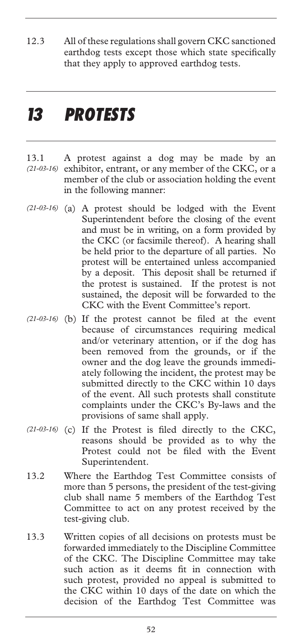12.3 All of these regulations shall govern CKC sanctioned earthdog tests except those which state specifically that they apply to approved earthdog tests.

### *13 PROTESTS*

- 13.1 A protest against a dog may be made by an (21-03-16) exhibitor, entrant, or any member of the CKC, or a member of the club or association holding the event in the following manner:
- (a) A protest should be lodged with the Event *(21-03-16)*  Superintendent before the closing of the event and must be in writing, on a form provided by the CKC (or facsimile thereof). A hearing shall be held prior to the departure of all parties. No protest will be entertained unless accompanied by a deposit. This deposit shall be returned if the protest is sustained. If the protest is not sustained, the deposit will be forwarded to the CKC with the Event Committee's report.
- (21-03-16) (b) If the protest cannot be filed at the event because of circumstances requiring medical and/or veterinary attention, or if the dog has been removed from the grounds, or if the owner and the dog leave the grounds immediately following the incident, the protest may be submitted directly to the CKC within 10 days of the event. All such protests shall constitute complaints under the CKC's By-laws and the provisions of same shall apply.
- (21-03-16) (c) If the Protest is filed directly to the CKC, reasons should be provided as to why the Protest could not be filed with the Event Superintendent.
- 13.2 Where the Earthdog Test Committee consists of more than 5 persons, the president of the test-giving club shall name 5 members of the Earthdog Test Committee to act on any protest received by the test-giving club.
- 13.3 Written copies of all decisions on protests must be forwarded immediately to the Discipline Committee of the CKC. The Discipline Committee may take such action as it deems fit in connection with such protest, provided no appeal is submitted to the CKC within 10 days of the date on which the decision of the Earthdog Test Committee was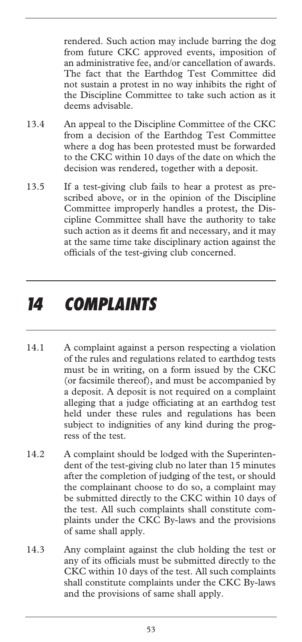rendered. Such action may include barring the dog from future CKC approved events, imposition of an administrative fee, and/or cancellation of awards. The fact that the Earthdog Test Committee did not sustain a protest in no way inhibits the right of the Discipline Committee to take such action as it deems advisable.

- 13.4 An appeal to the Discipline Committee of the CKC from a decision of the Earthdog Test Committee where a dog has been protested must be forwarded to the CKC within 10 days of the date on which the decision was rendered, together with a deposit.
- 13.5 If a test-giving club fails to hear a protest as prescribed above, or in the opinion of the Discipline Committee improperly handles a protest, the Discipline Committee shall have the authority to take such action as it deems fit and necessary, and it may at the same time take disciplinary action against the officials of the test-giving club concerned.

### *14 COMPLAINTS*

- 14.1 A complaint against a person respecting a violation of the rules and regulations related to earthdog tests must be in writing, on a form issued by the CKC (or facsimile thereof), and must be accompanied by a deposit. A deposit is not required on a complaint alleging that a judge officiating at an earthdog test held under these rules and regulations has been subject to indignities of any kind during the progress of the test.
- 14.2 A complaint should be lodged with the Superintendent of the test-giving club no later than 15 minutes after the completion of judging of the test, or should the complainant choose to do so, a complaint may be submitted directly to the CKC within 10 days of the test. All such complaints shall constitute complaints under the CKC By-laws and the provisions of same shall apply.
- 14.3 Any complaint against the club holding the test or any of its officials must be submitted directly to the CKC within 10 days of the test. All such complaints shall constitute complaints under the CKC By-laws and the provisions of same shall apply.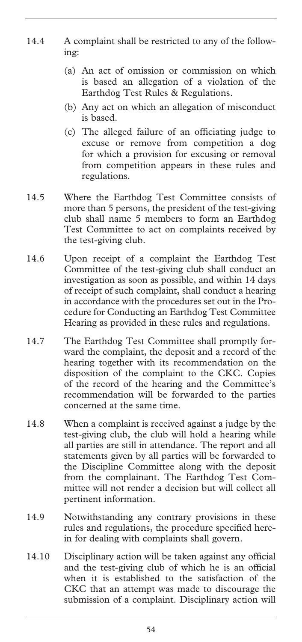- 14.4 A complaint shall be restricted to any of the following:
	- (a) An act of omission or commission on which is based an allegation of a violation of the Earthdog Test Rules & Regulations.
	- (b) Any act on which an allegation of misconduct is based.
	- (c) The alleged failure of an officiating judge to excuse or remove from competition a dog for which a provision for excusing or removal from competition appears in these rules and regulations.
- 14.5 Where the Earthdog Test Committee consists of more than 5 persons, the president of the test-giving club shall name 5 members to form an Earthdog Test Committee to act on complaints received by the test-giving club.
- 14.6 Upon receipt of a complaint the Earthdog Test Committee of the test-giving club shall conduct an investigation as soon as possible, and within 14 days of receipt of such complaint, shall conduct a hearing in accordance with the procedures set out in the Procedure for Conducting an Earthdog Test Committee Hearing as provided in these rules and regulations.
- 14.7 The Earthdog Test Committee shall promptly forward the complaint, the deposit and a record of the hearing together with its recommendation on the disposition of the complaint to the CKC. Copies of the record of the hearing and the Committee's recommendation will be forwarded to the parties concerned at the same time.
- 14.8 When a complaint is received against a judge by the test-giving club, the club will hold a hearing while all parties are still in attendance. The report and all statements given by all parties will be forwarded to the Discipline Committee along with the deposit from the complainant. The Earthdog Test Committee will not render a decision but will collect all pertinent information.
- 14.9 Notwithstanding any contrary provisions in these rules and regulations, the procedure specified herein for dealing with complaints shall govern.
- 14.10 Disciplinary action will be taken against any official and the test-giving club of which he is an official when it is established to the satisfaction of the CKC that an attempt was made to discourage the submission of a complaint. Disciplinary action will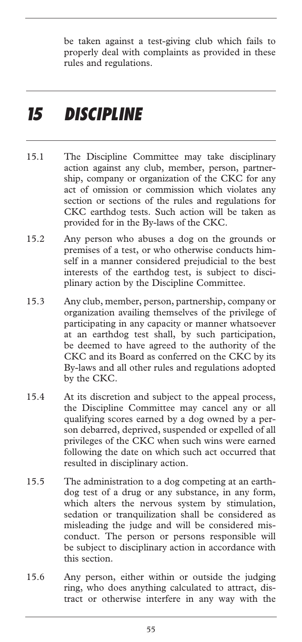be taken against a test-giving club which fails to properly deal with complaints as provided in these rules and regulations.

## *15 DISCIPLINE*

- 15.1 The Discipline Committee may take disciplinary action against any club, member, person, partnership, company or organization of the CKC for any act of omission or commission which violates any section or sections of the rules and regulations for CKC earthdog tests. Such action will be taken as provided for in the By-laws of the CKC.
- 15.2 Any person who abuses a dog on the grounds or premises of a test, or who otherwise conducts himself in a manner considered prejudicial to the best interests of the earthdog test, is subject to disciplinary action by the Discipline Committee.
- 15.3 Any club, member, person, partnership, company or organization availing themselves of the privilege of participating in any capacity or manner whatsoever at an earthdog test shall, by such participation, be deemed to have agreed to the authority of the CKC and its Board as conferred on the CKC by its By-laws and all other rules and regulations adopted by the CKC.
- 15.4 At its discretion and subject to the appeal process, the Discipline Committee may cancel any or all qualifying scores earned by a dog owned by a person debarred, deprived, suspended or expelled of all privileges of the CKC when such wins were earned following the date on which such act occurred that resulted in disciplinary action.
- 15.5 The administration to a dog competing at an earthdog test of a drug or any substance, in any form, which alters the nervous system by stimulation, sedation or tranquilization shall be considered as misleading the judge and will be considered misconduct. The person or persons responsible will be subject to disciplinary action in accordance with this section.
- 15.6 Any person, either within or outside the judging ring, who does anything calculated to attract, distract or otherwise interfere in any way with the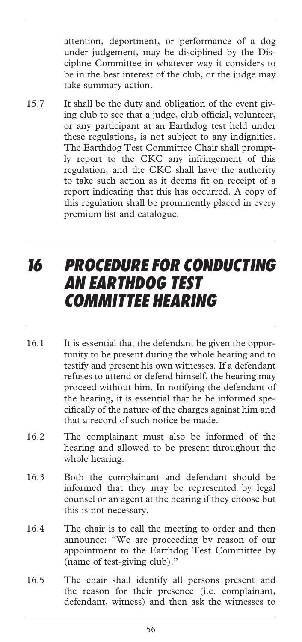attention, deportment, or performance of a dog under judgement, may be disciplined by the Discipline Committee in whatever way it considers to be in the best interest of the club, or the judge may take summary action.

15.7 It shall be the duty and obligation of the event giving club to see that a judge, club official, volunteer, or any participant at an Earthdog test held under these regulations, is not subject to any indignities. The Earthdog Test Committee Chair shall promptly report to the CKC any infringement of this regulation, and the CKC shall have the authority to take such action as it deems fit on receipt of a report indicating that this has occurred. A copy of this regulation shall be prominently placed in every premium list and catalogue.

### *16 PROCEDURE FOR CONDUCTING AN EARTHDOG TEST COMMITTEE HEARING*

- 16.1 It is essential that the defendant be given the opportunity to be present during the whole hearing and to testify and present his own witnesses. If a defendant refuses to attend or defend himself, the hearing may proceed without him. In notifying the defendant of the hearing, it is essential that he be informed specifically of the nature of the charges against him and that a record of such notice be made.
- 16.2 The complainant must also be informed of the hearing and allowed to be present throughout the whole hearing.
- 16.3 Both the complainant and defendant should be informed that they may be represented by legal counsel or an agent at the hearing if they choose but this is not necessary.
- 16.4 The chair is to call the meeting to order and then announce: "We are proceeding by reason of our appointment to the Earthdog Test Committee by (name of test-giving club)."
- 16.5 The chair shall identify all persons present and the reason for their presence (i.e. complainant, defendant, witness) and then ask the witnesses to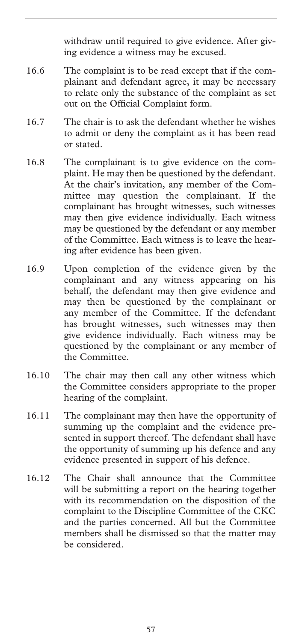withdraw until required to give evidence. After giving evidence a witness may be excused.

- 16.6 The complaint is to be read except that if the complainant and defendant agree, it may be necessary to relate only the substance of the complaint as set out on the Official Complaint form.
- 16.7 The chair is to ask the defendant whether he wishes to admit or deny the complaint as it has been read or stated.
- 16.8 The complainant is to give evidence on the complaint. He may then be questioned by the defendant. At the chair's invitation, any member of the Committee may question the complainant. If the complainant has brought witnesses, such witnesses may then give evidence individually. Each witness may be questioned by the defendant or any member of the Committee. Each witness is to leave the hearing after evidence has been given.
- 16.9 Upon completion of the evidence given by the complainant and any witness appearing on his behalf, the defendant may then give evidence and may then be questioned by the complainant or any member of the Committee. If the defendant has brought witnesses, such witnesses may then give evidence individually. Each witness may be questioned by the complainant or any member of the Committee.
- 16.10 The chair may then call any other witness which the Committee considers appropriate to the proper hearing of the complaint.
- 16.11 The complainant may then have the opportunity of summing up the complaint and the evidence presented in support thereof. The defendant shall have the opportunity of summing up his defence and any evidence presented in support of his defence.
- 16.12 The Chair shall announce that the Committee will be submitting a report on the hearing together with its recommendation on the disposition of the complaint to the Discipline Committee of the CKC and the parties concerned. All but the Committee members shall be dismissed so that the matter may be considered.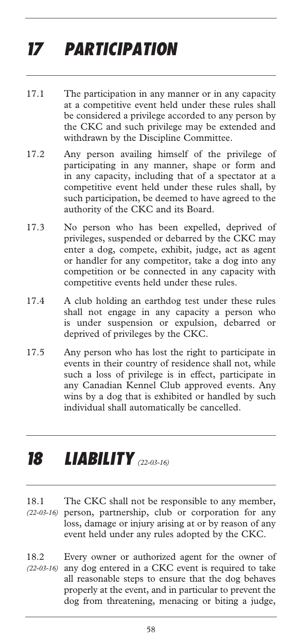# *17 PARTICIPATION*

- 17.1 The participation in any manner or in any capacity at a competitive event held under these rules shall be considered a privilege accorded to any person by the CKC and such privilege may be extended and withdrawn by the Discipline Committee.
- 17.2 Any person availing himself of the privilege of participating in any manner, shape or form and in any capacity, including that of a spectator at a competitive event held under these rules shall, by such participation, be deemed to have agreed to the authority of the CKC and its Board.
- 17.3 No person who has been expelled, deprived of privileges, suspended or debarred by the CKC may enter a dog, compete, exhibit, judge, act as agent or handler for any competitor, take a dog into any competition or be connected in any capacity with competitive events held under these rules.
- 17.4 A club holding an earthdog test under these rules shall not engage in any capacity a person who is under suspension or expulsion, debarred or deprived of privileges by the CKC.
- 17.5 Any person who has lost the right to participate in events in their country of residence shall not, while such a loss of privilege is in effect, participate in any Canadian Kennel Club approved events. Any wins by a dog that is exhibited or handled by such individual shall automatically be cancelled.

## *18 LIABILITY (22-03-16)*

- 18.1 The CKC shall not be responsible to any member, person, partnership, club or corporation for any *(22-03-16)*  loss, damage or injury arising at or by reason of any event held under any rules adopted by the CKC.
- 18.2 Every owner or authorized agent for the owner of (22-03-16) any dog entered in a CKC event is required to take all reasonable steps to ensure that the dog behaves properly at the event, and in particular to prevent the dog from threatening, menacing or biting a judge,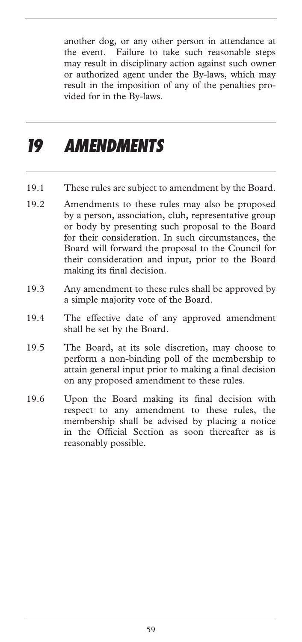another dog, or any other person in attendance at the event. Failure to take such reasonable steps may result in disciplinary action against such owner or authorized agent under the By-laws, which may result in the imposition of any of the penalties provided for in the By-laws.

## *19 AMENDMENTS*

- 19.1 These rules are subject to amendment by the Board.
- 19.2 Amendments to these rules may also be proposed by a person, association, club, representative group or body by presenting such proposal to the Board for their consideration. In such circumstances, the Board will forward the proposal to the Council for their consideration and input, prior to the Board making its final decision.
- 19.3 Any amendment to these rules shall be approved by a simple majority vote of the Board.
- 19.4 The effective date of any approved amendment shall be set by the Board.
- 19.5 The Board, at its sole discretion, may choose to perform a non-binding poll of the membership to attain general input prior to making a final decision on any proposed amendment to these rules.
- 19.6 Upon the Board making its final decision with respect to any amendment to these rules, the membership shall be advised by placing a notice in the Official Section as soon thereafter as is reasonably possible.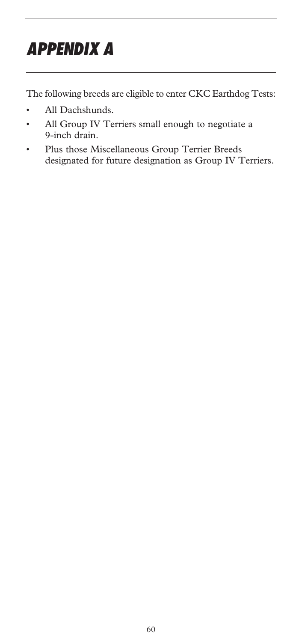# *APPENDIX A*

The following breeds are eligible to enter CKC Earthdog Tests:

- All Dachshunds.
- All Group IV Terriers small enough to negotiate a 9-inch drain.
- Plus those Miscellaneous Group Terrier Breeds designated for future designation as Group IV Terriers.